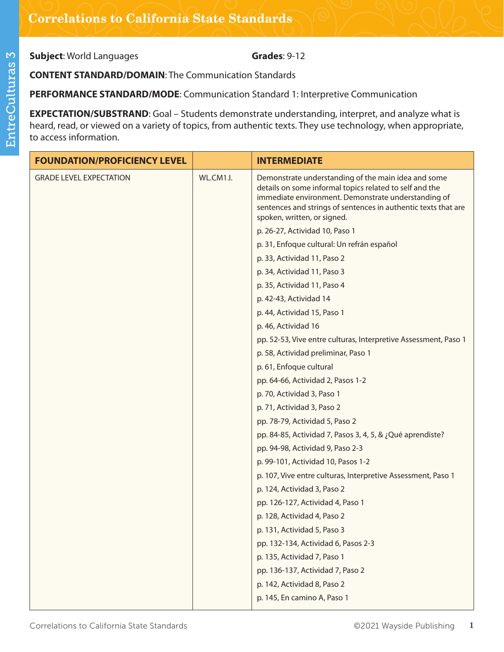**Subject:** World Languages **Grades**: 9-12

**CONTENT STANDARD/DOMAIN**: The Communication Standards

**PERFORMANCE STANDARD/MODE**: Communication Standard 1: Interpretive Communication

**EXPECTATION/SUBSTRAND:** Goal – Students demonstrate understanding, interpret, and analyze what is heard, read, or viewed on a variety of topics, from authentic texts. They use technology, when appropriate, to access information.

| <b>FOUNDATION/PROFICIENCY LEVEL</b> |           | <b>INTERMEDIATE</b>                                                                                                                                                                                                                                                    |
|-------------------------------------|-----------|------------------------------------------------------------------------------------------------------------------------------------------------------------------------------------------------------------------------------------------------------------------------|
| <b>GRADE LEVEL EXPECTATION</b>      | WL.CM1.I. | Demonstrate understanding of the main idea and some<br>details on some informal topics related to self and the<br>immediate environment. Demonstrate understanding of<br>sentences and strings of sentences in authentic texts that are<br>spoken, written, or signed. |
|                                     |           | p. 26-27, Actividad 10, Paso 1                                                                                                                                                                                                                                         |
|                                     |           | p. 31, Enfoque cultural: Un refrán español                                                                                                                                                                                                                             |
|                                     |           | p. 33, Actividad 11, Paso 2                                                                                                                                                                                                                                            |
|                                     |           | p. 34, Actividad 11, Paso 3                                                                                                                                                                                                                                            |
|                                     |           | p. 35, Actividad 11, Paso 4                                                                                                                                                                                                                                            |
|                                     |           | p. 42-43, Actividad 14                                                                                                                                                                                                                                                 |
|                                     |           | p. 44, Actividad 15, Paso 1                                                                                                                                                                                                                                            |
|                                     |           | p. 46, Actividad 16                                                                                                                                                                                                                                                    |
|                                     |           | pp. 52-53, Vive entre culturas, Interpretive Assessment, Paso 1                                                                                                                                                                                                        |
|                                     |           | p. 58, Actividad preliminar, Paso 1                                                                                                                                                                                                                                    |
|                                     |           | p. 61, Enfoque cultural                                                                                                                                                                                                                                                |
|                                     |           | pp. 64-66, Actividad 2, Pasos 1-2                                                                                                                                                                                                                                      |
|                                     |           | p. 70, Actividad 3, Paso 1                                                                                                                                                                                                                                             |
|                                     |           | p. 71, Actividad 3, Paso 2                                                                                                                                                                                                                                             |
|                                     |           | pp. 78-79, Actividad 5, Paso 2                                                                                                                                                                                                                                         |
|                                     |           | pp. 84-85, Actividad 7, Pasos 3, 4, 5, & ¿Qué aprendiste?                                                                                                                                                                                                              |
|                                     |           | pp. 94-98, Actividad 9, Paso 2-3                                                                                                                                                                                                                                       |
|                                     |           | p. 99-101, Actividad 10, Pasos 1-2                                                                                                                                                                                                                                     |
|                                     |           | p. 107, Vive entre culturas, Interpretive Assessment, Paso 1                                                                                                                                                                                                           |
|                                     |           | p. 124, Actividad 3, Paso 2                                                                                                                                                                                                                                            |
|                                     |           | pp. 126-127, Actividad 4, Paso 1                                                                                                                                                                                                                                       |
|                                     |           | p. 128, Actividad 4, Paso 2                                                                                                                                                                                                                                            |
|                                     |           | p. 131, Actividad 5, Paso 3                                                                                                                                                                                                                                            |
|                                     |           | pp. 132-134, Actividad 6, Pasos 2-3                                                                                                                                                                                                                                    |
|                                     |           | p. 135, Actividad 7, Paso 1                                                                                                                                                                                                                                            |
|                                     |           | pp. 136-137, Actividad 7, Paso 2                                                                                                                                                                                                                                       |
|                                     |           | p. 142, Actividad 8, Paso 2                                                                                                                                                                                                                                            |
|                                     |           | p. 145, En camino A, Paso 1                                                                                                                                                                                                                                            |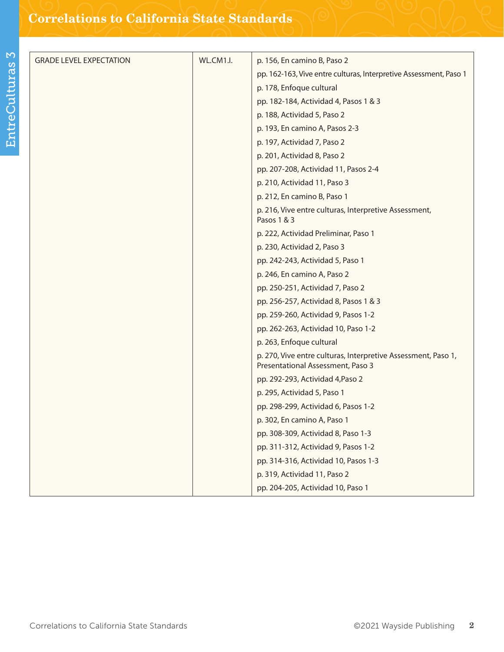| <b>GRADE LEVEL EXPECTATION</b> | WL.CM1.I. | p. 156, En camino B, Paso 2                                                                        |
|--------------------------------|-----------|----------------------------------------------------------------------------------------------------|
|                                |           | pp. 162-163, Vive entre culturas, Interpretive Assessment, Paso 1                                  |
|                                |           | p. 178, Enfoque cultural                                                                           |
|                                |           | pp. 182-184, Actividad 4, Pasos 1 & 3                                                              |
|                                |           | p. 188, Actividad 5, Paso 2                                                                        |
|                                |           | p. 193, En camino A, Pasos 2-3                                                                     |
|                                |           | p. 197, Actividad 7, Paso 2                                                                        |
|                                |           | p. 201, Actividad 8, Paso 2                                                                        |
|                                |           | pp. 207-208, Actividad 11, Pasos 2-4                                                               |
|                                |           | p. 210, Actividad 11, Paso 3                                                                       |
|                                |           | p. 212, En camino B, Paso 1                                                                        |
|                                |           | p. 216, Vive entre culturas, Interpretive Assessment,<br>Pasos 1 & 3                               |
|                                |           | p. 222, Actividad Preliminar, Paso 1                                                               |
|                                |           | p. 230, Actividad 2, Paso 3                                                                        |
|                                |           | pp. 242-243, Actividad 5, Paso 1                                                                   |
|                                |           | p. 246, En camino A, Paso 2                                                                        |
|                                |           | pp. 250-251, Actividad 7, Paso 2                                                                   |
|                                |           | pp. 256-257, Actividad 8, Pasos 1 & 3                                                              |
|                                |           | pp. 259-260, Actividad 9, Pasos 1-2                                                                |
|                                |           | pp. 262-263, Actividad 10, Paso 1-2                                                                |
|                                |           | p. 263, Enfoque cultural                                                                           |
|                                |           | p. 270, Vive entre culturas, Interpretive Assessment, Paso 1,<br>Presentational Assessment, Paso 3 |
|                                |           | pp. 292-293, Actividad 4, Paso 2                                                                   |
|                                |           | p. 295, Actividad 5, Paso 1                                                                        |
|                                |           | pp. 298-299, Actividad 6, Pasos 1-2                                                                |
|                                |           | p. 302, En camino A, Paso 1                                                                        |
|                                |           | pp. 308-309, Actividad 8, Paso 1-3                                                                 |
|                                |           | pp. 311-312, Actividad 9, Pasos 1-2                                                                |
|                                |           | pp. 314-316, Actividad 10, Pasos 1-3                                                               |
|                                |           | p. 319, Actividad 11, Paso 2                                                                       |
|                                |           | pp. 204-205, Actividad 10, Paso 1                                                                  |
|                                |           |                                                                                                    |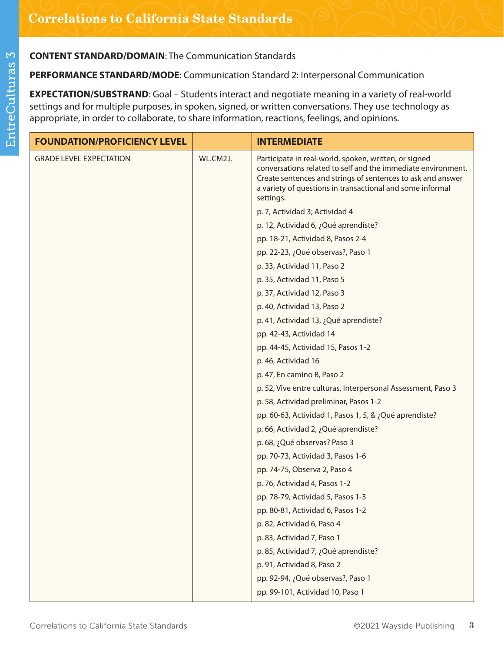**PERFORMANCE STANDARD/MODE**: Communication Standard 2: Interpersonal Communication

**EXPECTATION/SUBSTRAND**: Goal – Students interact and negotiate meaning in a variety of real-world settings and for multiple purposes, in spoken, signed, or written conversations. They use technology as appropriate, in order to collaborate, to share information, reactions, feelings, and opinions.

| <b>FOUNDATION/PROFICIENCY LEVEL</b> |           | <b>INTERMEDIATE</b>                                                                                                                                                                                                                                            |
|-------------------------------------|-----------|----------------------------------------------------------------------------------------------------------------------------------------------------------------------------------------------------------------------------------------------------------------|
| <b>GRADE LEVEL EXPECTATION</b>      | WL.CM2.I. | Participate in real-world, spoken, written, or signed<br>conversations related to self and the immediate environment.<br>Create sentences and strings of sentences to ask and answer<br>a variety of questions in transactional and some informal<br>settings. |
|                                     |           | p. 7, Actividad 3; Actividad 4                                                                                                                                                                                                                                 |
|                                     |           | p. 12, Actividad 6, ¿Qué aprendiste?                                                                                                                                                                                                                           |
|                                     |           | pp. 18-21, Actividad 8, Pasos 2-4                                                                                                                                                                                                                              |
|                                     |           | pp. 22-23, ¿Qué observas?, Paso 1                                                                                                                                                                                                                              |
|                                     |           | p. 33, Actividad 11, Paso 2                                                                                                                                                                                                                                    |
|                                     |           | p. 35, Actividad 11, Paso 5                                                                                                                                                                                                                                    |
|                                     |           | p. 37, Actividad 12, Paso 3                                                                                                                                                                                                                                    |
|                                     |           | p. 40, Actividad 13, Paso 2                                                                                                                                                                                                                                    |
|                                     |           | p. 41, Actividad 13, ¿Qué aprendiste?                                                                                                                                                                                                                          |
|                                     |           | pp. 42-43, Actividad 14                                                                                                                                                                                                                                        |
|                                     |           | pp. 44-45, Actividad 15, Pasos 1-2                                                                                                                                                                                                                             |
|                                     |           | p. 46, Actividad 16                                                                                                                                                                                                                                            |
|                                     |           | p. 47, En camino B, Paso 2                                                                                                                                                                                                                                     |
|                                     |           | p. 52, Vive entre culturas, Interpersonal Assessment, Paso 3                                                                                                                                                                                                   |
|                                     |           | p. 58, Actividad preliminar, Pasos 1-2                                                                                                                                                                                                                         |
|                                     |           | pp. 60-63, Actividad 1, Pasos 1, 5, & ¿Qué aprendiste?                                                                                                                                                                                                         |
|                                     |           | p. 66, Actividad 2, ¿Qué aprendiste?                                                                                                                                                                                                                           |
|                                     |           | p. 68, ¿Qué observas? Paso 3                                                                                                                                                                                                                                   |
|                                     |           | pp. 70-73, Actividad 3, Pasos 1-6                                                                                                                                                                                                                              |
|                                     |           | pp. 74-75, Observa 2, Paso 4                                                                                                                                                                                                                                   |
|                                     |           | p. 76, Actividad 4, Pasos 1-2                                                                                                                                                                                                                                  |
|                                     |           | pp. 78-79, Actividad 5, Pasos 1-3                                                                                                                                                                                                                              |
|                                     |           | pp. 80-81, Actividad 6, Pasos 1-2                                                                                                                                                                                                                              |
|                                     |           | p. 82, Actividad 6, Paso 4                                                                                                                                                                                                                                     |
|                                     |           | p. 83, Actividad 7, Paso 1                                                                                                                                                                                                                                     |
|                                     |           | p. 85, Actividad 7, ¿Qué aprendiste?                                                                                                                                                                                                                           |
|                                     |           | p. 91, Actividad 8, Paso 2                                                                                                                                                                                                                                     |
|                                     |           | pp. 92-94, ¿Qué observas?, Paso 1                                                                                                                                                                                                                              |
|                                     |           | pp. 99-101, Actividad 10, Paso 1                                                                                                                                                                                                                               |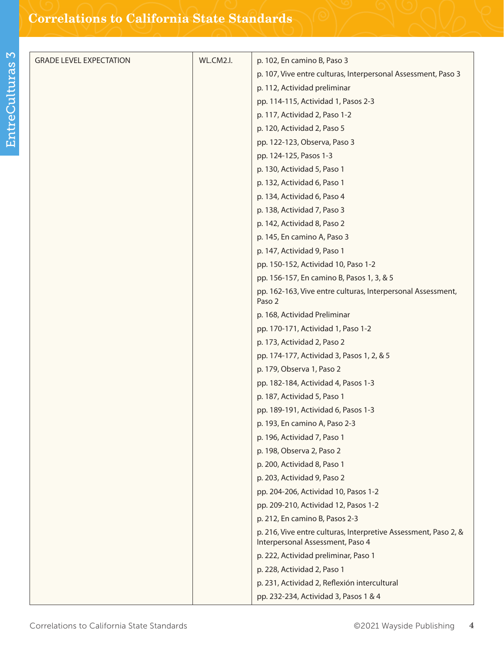| <b>GRADE LEVEL EXPECTATION</b> | WL.CM2.I. | p. 102, En camino B, Paso 3                                                                         |
|--------------------------------|-----------|-----------------------------------------------------------------------------------------------------|
|                                |           | p. 107, Vive entre culturas, Interpersonal Assessment, Paso 3                                       |
|                                |           | p. 112, Actividad preliminar                                                                        |
|                                |           | pp. 114-115, Actividad 1, Pasos 2-3                                                                 |
|                                |           | p. 117, Actividad 2, Paso 1-2                                                                       |
|                                |           | p. 120, Actividad 2, Paso 5                                                                         |
|                                |           | pp. 122-123, Observa, Paso 3                                                                        |
|                                |           | pp. 124-125, Pasos 1-3                                                                              |
|                                |           | p. 130, Actividad 5, Paso 1                                                                         |
|                                |           | p. 132, Actividad 6, Paso 1                                                                         |
|                                |           | p. 134, Actividad 6, Paso 4                                                                         |
|                                |           | p. 138, Actividad 7, Paso 3                                                                         |
|                                |           | p. 142, Actividad 8, Paso 2                                                                         |
|                                |           | p. 145, En camino A, Paso 3                                                                         |
|                                |           | p. 147, Actividad 9, Paso 1                                                                         |
|                                |           | pp. 150-152, Actividad 10, Paso 1-2                                                                 |
|                                |           | pp. 156-157, En camino B, Pasos 1, 3, & 5                                                           |
|                                |           | pp. 162-163, Vive entre culturas, Interpersonal Assessment,<br>Paso 2                               |
|                                |           | p. 168, Actividad Preliminar                                                                        |
|                                |           | pp. 170-171, Actividad 1, Paso 1-2                                                                  |
|                                |           | p. 173, Actividad 2, Paso 2                                                                         |
|                                |           | pp. 174-177, Actividad 3, Pasos 1, 2, & 5                                                           |
|                                |           | p. 179, Observa 1, Paso 2                                                                           |
|                                |           | pp. 182-184, Actividad 4, Pasos 1-3                                                                 |
|                                |           | p. 187, Actividad 5, Paso 1                                                                         |
|                                |           | pp. 189-191, Actividad 6, Pasos 1-3                                                                 |
|                                |           | p. 193, En camino A, Paso 2-3                                                                       |
|                                |           | p. 196, Actividad 7, Paso 1                                                                         |
|                                |           | p. 198, Observa 2, Paso 2                                                                           |
|                                |           | p. 200, Actividad 8, Paso 1                                                                         |
|                                |           | p. 203, Actividad 9, Paso 2                                                                         |
|                                |           | pp. 204-206, Actividad 10, Pasos 1-2                                                                |
|                                |           | pp. 209-210, Actividad 12, Pasos 1-2                                                                |
|                                |           | p. 212, En camino B, Pasos 2-3                                                                      |
|                                |           | p. 216, Vive entre culturas, Interpretive Assessment, Paso 2, &<br>Interpersonal Assessment, Paso 4 |
|                                |           | p. 222, Actividad preliminar, Paso 1                                                                |
|                                |           | p. 228, Actividad 2, Paso 1                                                                         |
|                                |           | p. 231, Actividad 2, Reflexión intercultural                                                        |
|                                |           | pp. 232-234, Actividad 3, Pasos 1 & 4                                                               |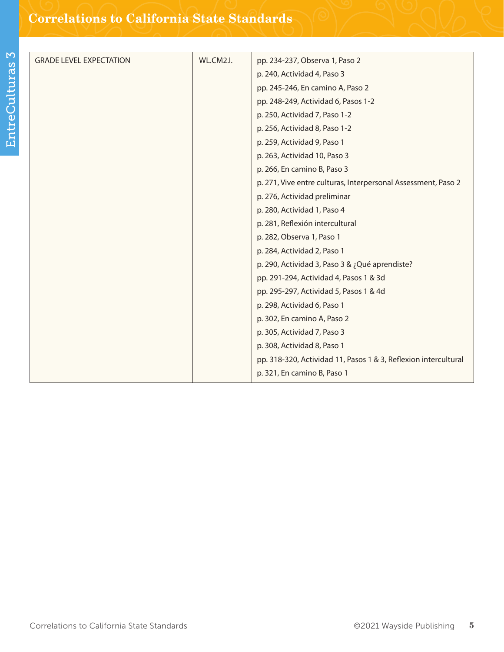| <b>GRADE LEVEL EXPECTATION</b> | WL.CM2.I. | pp. 234-237, Observa 1, Paso 2                                  |
|--------------------------------|-----------|-----------------------------------------------------------------|
|                                |           | p. 240, Actividad 4, Paso 3                                     |
|                                |           | pp. 245-246, En camino A, Paso 2                                |
|                                |           | pp. 248-249, Actividad 6, Pasos 1-2                             |
|                                |           | p. 250, Actividad 7, Paso 1-2                                   |
|                                |           | p. 256, Actividad 8, Paso 1-2                                   |
|                                |           | p. 259, Actividad 9, Paso 1                                     |
|                                |           | p. 263, Actividad 10, Paso 3                                    |
|                                |           | p. 266, En camino B, Paso 3                                     |
|                                |           | p. 271, Vive entre culturas, Interpersonal Assessment, Paso 2   |
|                                |           | p. 276, Actividad preliminar                                    |
|                                |           | p. 280, Actividad 1, Paso 4                                     |
|                                |           | p. 281, Reflexión intercultural                                 |
|                                |           | p. 282, Observa 1, Paso 1                                       |
|                                |           | p. 284, Actividad 2, Paso 1                                     |
|                                |           | p. 290, Actividad 3, Paso 3 & ¿Qué aprendiste?                  |
|                                |           | pp. 291-294, Actividad 4, Pasos 1 & 3d                          |
|                                |           | pp. 295-297, Actividad 5, Pasos 1 & 4d                          |
|                                |           | p. 298, Actividad 6, Paso 1                                     |
|                                |           | p. 302, En camino A, Paso 2                                     |
|                                |           | p. 305, Actividad 7, Paso 3                                     |
|                                |           | p. 308, Actividad 8, Paso 1                                     |
|                                |           | pp. 318-320, Actividad 11, Pasos 1 & 3, Reflexion intercultural |
|                                |           | p. 321, En camino B, Paso 1                                     |
|                                |           |                                                                 |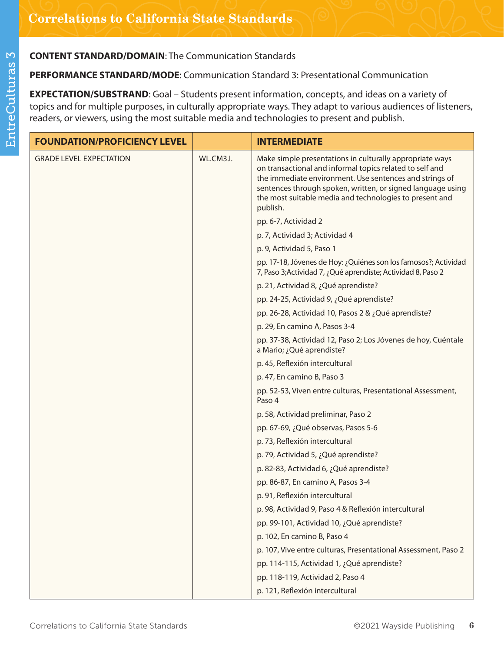## **PERFORMANCE STANDARD/MODE**: Communication Standard 3: Presentational Communication

**EXPECTATION/SUBSTRAND**: Goal – Students present information, concepts, and ideas on a variety of topics and for multiple purposes, in culturally appropriate ways. They adapt to various audiences of listeners, readers, or viewers, using the most suitable media and technologies to present and publish.

| <b>FOUNDATION/PROFICIENCY LEVEL</b> |           | <b>INTERMEDIATE</b>                                                                                                                                                                                                                                                                                                   |
|-------------------------------------|-----------|-----------------------------------------------------------------------------------------------------------------------------------------------------------------------------------------------------------------------------------------------------------------------------------------------------------------------|
| <b>GRADE LEVEL EXPECTATION</b>      | WL.CM3.I. | Make simple presentations in culturally appropriate ways<br>on transactional and informal topics related to self and<br>the immediate environment. Use sentences and strings of<br>sentences through spoken, written, or signed language using<br>the most suitable media and technologies to present and<br>publish. |
|                                     |           | pp. 6-7, Actividad 2                                                                                                                                                                                                                                                                                                  |
|                                     |           | p. 7, Actividad 3; Actividad 4                                                                                                                                                                                                                                                                                        |
|                                     |           | p. 9, Actividad 5, Paso 1                                                                                                                                                                                                                                                                                             |
|                                     |           | pp. 17-18, Jóvenes de Hoy: ¿Quiénes son los famosos?; Actividad<br>7, Paso 3; Actividad 7, ¿Qué aprendiste; Actividad 8, Paso 2                                                                                                                                                                                       |
|                                     |           | p. 21, Actividad 8, ¿Qué aprendiste?                                                                                                                                                                                                                                                                                  |
|                                     |           | pp. 24-25, Actividad 9, ¿Qué aprendiste?                                                                                                                                                                                                                                                                              |
|                                     |           | pp. 26-28, Actividad 10, Pasos 2 & ¿Qué aprendiste?                                                                                                                                                                                                                                                                   |
|                                     |           | p. 29, En camino A, Pasos 3-4                                                                                                                                                                                                                                                                                         |
|                                     |           | pp. 37-38, Actividad 12, Paso 2; Los Jóvenes de hoy, Cuéntale<br>a Mario; ¿Qué aprendiste?                                                                                                                                                                                                                            |
|                                     |           | p. 45, Reflexión intercultural                                                                                                                                                                                                                                                                                        |
|                                     |           | p. 47, En camino B, Paso 3                                                                                                                                                                                                                                                                                            |
|                                     |           | pp. 52-53, Viven entre culturas, Presentational Assessment,<br>Paso 4                                                                                                                                                                                                                                                 |
|                                     |           | p. 58, Actividad preliminar, Paso 2                                                                                                                                                                                                                                                                                   |
|                                     |           | pp. 67-69, ¿Qué observas, Pasos 5-6                                                                                                                                                                                                                                                                                   |
|                                     |           | p. 73, Reflexión intercultural                                                                                                                                                                                                                                                                                        |
|                                     |           | p. 79, Actividad 5, ¿Qué aprendiste?                                                                                                                                                                                                                                                                                  |
|                                     |           | p. 82-83, Actividad 6, ¿Qué aprendiste?                                                                                                                                                                                                                                                                               |
|                                     |           | pp. 86-87, En camino A, Pasos 3-4                                                                                                                                                                                                                                                                                     |
|                                     |           | p. 91, Reflexión intercultural                                                                                                                                                                                                                                                                                        |
|                                     |           | p. 98, Actividad 9, Paso 4 & Reflexión intercultural                                                                                                                                                                                                                                                                  |
|                                     |           | pp. 99-101, Actividad 10, ¿Qué aprendiste?                                                                                                                                                                                                                                                                            |
|                                     |           | p. 102, En camino B, Paso 4                                                                                                                                                                                                                                                                                           |
|                                     |           | p. 107, Vive entre culturas, Presentational Assessment, Paso 2                                                                                                                                                                                                                                                        |
|                                     |           | pp. 114-115, Actividad 1, ¿Qué aprendiste?                                                                                                                                                                                                                                                                            |
|                                     |           | pp. 118-119, Actividad 2, Paso 4                                                                                                                                                                                                                                                                                      |
|                                     |           | p. 121, Reflexión intercultural                                                                                                                                                                                                                                                                                       |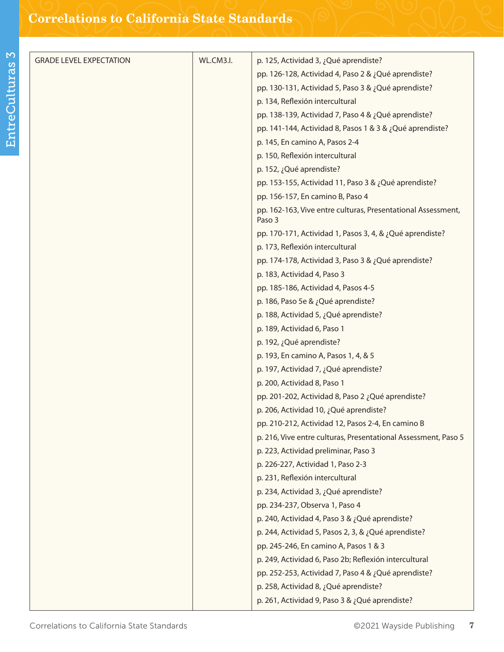| <b>GRADE LEVEL EXPECTATION</b> | WL.CM3.I. | p. 125, Actividad 3, ¿Qué aprendiste?                                  |
|--------------------------------|-----------|------------------------------------------------------------------------|
|                                |           | pp. 126-128, Actividad 4, Paso 2 & ¿Qué aprendiste?                    |
|                                |           | pp. 130-131, Actividad 5, Paso 3 & ¿Qué aprendiste?                    |
|                                |           | p. 134, Reflexión intercultural                                        |
|                                |           | pp. 138-139, Actividad 7, Paso 4 & ¿Qué aprendiste?                    |
|                                |           | pp. 141-144, Actividad 8, Pasos 1 & 3 & ¿Qué aprendiste?               |
|                                |           | p. 145, En camino A, Pasos 2-4                                         |
|                                |           | p. 150, Reflexión intercultural                                        |
|                                |           | p. 152, ¿Qué aprendiste?                                               |
|                                |           | pp. 153-155, Actividad 11, Paso 3 & ¿Qué aprendiste?                   |
|                                |           | pp. 156-157, En camino B, Paso 4                                       |
|                                |           | pp. 162-163, Vive entre culturas, Presentational Assessment,<br>Paso 3 |
|                                |           | pp. 170-171, Actividad 1, Pasos 3, 4, & ¿Qué aprendiste?               |
|                                |           | p. 173, Reflexión intercultural                                        |
|                                |           | pp. 174-178, Actividad 3, Paso 3 & ¿Qué aprendiste?                    |
|                                |           | p. 183, Actividad 4, Paso 3                                            |
|                                |           | pp. 185-186, Actividad 4, Pasos 4-5                                    |
|                                |           | p. 186, Paso 5e & ¿Qué aprendiste?                                     |
|                                |           | p. 188, Actividad 5, ¿Qué aprendiste?                                  |
|                                |           | p. 189, Actividad 6, Paso 1                                            |
|                                |           | p. 192, ¿Qué aprendiste?                                               |
|                                |           | p. 193, En camino A, Pasos 1, 4, & 5                                   |
|                                |           | p. 197, Actividad 7, ¿Qué aprendiste?                                  |
|                                |           | p. 200, Actividad 8, Paso 1                                            |
|                                |           | pp. 201-202, Actividad 8, Paso 2 ¿Qué aprendiste?                      |
|                                |           | p. 206, Actividad 10, ¿Qué aprendiste?                                 |
|                                |           | pp. 210-212, Actividad 12, Pasos 2-4, En camino B                      |
|                                |           | p. 216, Vive entre culturas, Presentational Assessment, Paso 5         |
|                                |           | p. 223, Actividad preliminar, Paso 3                                   |
|                                |           | p. 226-227, Actividad 1, Paso 2-3                                      |
|                                |           | p. 231, Reflexión intercultural                                        |
|                                |           | p. 234, Actividad 3, ¿Qué aprendiste?                                  |
|                                |           | pp. 234-237, Observa 1, Paso 4                                         |
|                                |           | p. 240, Actividad 4, Paso 3 & ¿Qué aprendiste?                         |
|                                |           | p. 244, Actividad 5, Pasos 2, 3, & ¿Qué aprendiste?                    |
|                                |           | pp. 245-246, En camino A, Pasos 1 & 3                                  |
|                                |           | p. 249, Actividad 6, Paso 2b; Reflexión intercultural                  |
|                                |           | pp. 252-253, Actividad 7, Paso 4 & ¿Qué aprendiste?                    |
|                                |           | p. 258, Actividad 8, ¿Qué aprendiste?                                  |
|                                |           | p. 261, Actividad 9, Paso 3 & ¿Qué aprendiste?                         |
|                                |           |                                                                        |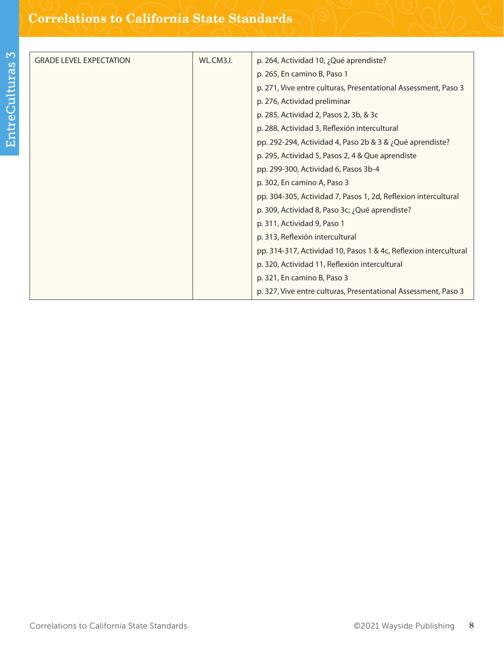| <b>GRADE LEVEL EXPECTATION</b> | WL.CM3.I. | p. 264, Actividad 10, ¿Qué aprendiste?                           |
|--------------------------------|-----------|------------------------------------------------------------------|
|                                |           | p. 265, En camino B, Paso 1                                      |
|                                |           | p. 271, Vive entre culturas, Presentational Assessment, Paso 3   |
|                                |           | p. 276, Actividad preliminar                                     |
|                                |           | p. 285, Actividad 2, Pasos 2, 3b, & 3c                           |
|                                |           | p. 288, Actividad 3, Reflexión intercultural                     |
|                                |           | pp. 292-294, Actividad 4, Paso 2b & 3 & ¿Qué aprendiste?         |
|                                |           | p. 295, Actividad 5, Pasos 2, 4 & Que aprendiste                 |
|                                |           | pp. 299-300, Actividad 6, Pasos 3b-4                             |
|                                |           | p. 302, En camino A, Paso 3                                      |
|                                |           | pp. 304-305, Actividad 7, Pasos 1, 2d, Reflexion intercultural   |
|                                |           | p. 309, Actividad 8, Paso 3c; ¿Qué aprendiste?                   |
|                                |           | p. 311, Actividad 9, Paso 1                                      |
|                                |           | p. 313, Reflexión intercultural                                  |
|                                |           | pp. 314-317, Actividad 10, Pasos 1 & 4c, Reflexion intercultural |
|                                |           | p. 320, Actividad 11, Reflexión intercultural                    |
|                                |           | p. 321, En camino B, Paso 3                                      |
|                                |           | p. 327, Vive entre culturas, Presentational Assessment, Paso 3   |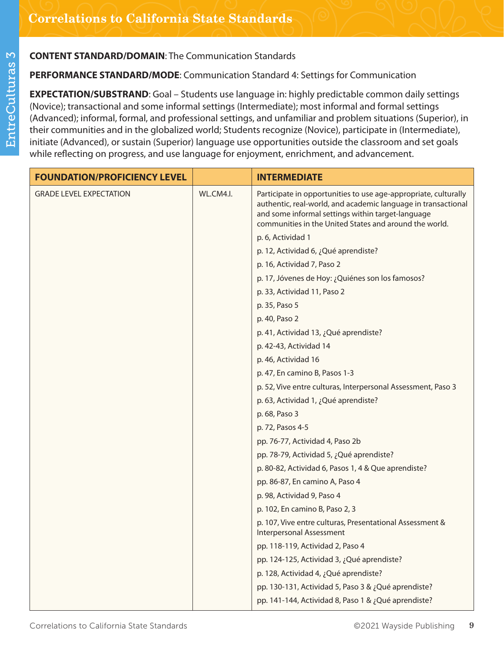**PERFORMANCE STANDARD/MODE**: Communication Standard 4: Settings for Communication

**EXPECTATION/SUBSTRAND**: Goal – Students use language in: highly predictable common daily settings (Novice); transactional and some informal settings (Intermediate); most informal and formal settings (Advanced); informal, formal, and professional settings, and unfamiliar and problem situations (Superior), in their communities and in the globalized world; Students recognize (Novice), participate in (Intermediate), initiate (Advanced), or sustain (Superior) language use opportunities outside the classroom and set goals while reflecting on progress, and use language for enjoyment, enrichment, and advancement.

| <b>FOUNDATION/PROFICIENCY LEVEL</b> |           | <b>INTERMEDIATE</b>                                                                                                                                                                                                                             |
|-------------------------------------|-----------|-------------------------------------------------------------------------------------------------------------------------------------------------------------------------------------------------------------------------------------------------|
| <b>GRADE LEVEL EXPECTATION</b>      | WL.CM4.I. | Participate in opportunities to use age-appropriate, culturally<br>authentic, real-world, and academic language in transactional<br>and some informal settings within target-language<br>communities in the United States and around the world. |
|                                     |           | p. 6, Actividad 1                                                                                                                                                                                                                               |
|                                     |           | p. 12, Actividad 6, ¿Qué aprendiste?                                                                                                                                                                                                            |
|                                     |           | p. 16, Actividad 7, Paso 2                                                                                                                                                                                                                      |
|                                     |           | p. 17, Jóvenes de Hoy: ¿Quiénes son los famosos?                                                                                                                                                                                                |
|                                     |           | p. 33, Actividad 11, Paso 2                                                                                                                                                                                                                     |
|                                     |           | p. 35, Paso 5                                                                                                                                                                                                                                   |
|                                     |           | p. 40, Paso 2                                                                                                                                                                                                                                   |
|                                     |           | p. 41, Actividad 13, ¿Qué aprendiste?                                                                                                                                                                                                           |
|                                     |           | p. 42-43, Actividad 14                                                                                                                                                                                                                          |
|                                     |           | p. 46, Actividad 16                                                                                                                                                                                                                             |
|                                     |           | p. 47, En camino B, Pasos 1-3                                                                                                                                                                                                                   |
|                                     |           | p. 52, Vive entre culturas, Interpersonal Assessment, Paso 3                                                                                                                                                                                    |
|                                     |           | p. 63, Actividad 1, ¿Qué aprendiste?                                                                                                                                                                                                            |
|                                     |           | p. 68, Paso 3                                                                                                                                                                                                                                   |
|                                     |           | p. 72, Pasos 4-5                                                                                                                                                                                                                                |
|                                     |           | pp. 76-77, Actividad 4, Paso 2b                                                                                                                                                                                                                 |
|                                     |           | pp. 78-79, Actividad 5, ¿Qué aprendiste?                                                                                                                                                                                                        |
|                                     |           | p. 80-82, Actividad 6, Pasos 1, 4 & Que aprendiste?                                                                                                                                                                                             |
|                                     |           | pp. 86-87, En camino A, Paso 4                                                                                                                                                                                                                  |
|                                     |           | p. 98, Actividad 9, Paso 4                                                                                                                                                                                                                      |
|                                     |           | p. 102, En camino B, Paso 2, 3                                                                                                                                                                                                                  |
|                                     |           | p. 107, Vive entre culturas, Presentational Assessment &<br><b>Interpersonal Assessment</b>                                                                                                                                                     |
|                                     |           | pp. 118-119, Actividad 2, Paso 4                                                                                                                                                                                                                |
|                                     |           | pp. 124-125, Actividad 3, ¿Qué aprendiste?                                                                                                                                                                                                      |
|                                     |           | p. 128, Actividad 4, ¿Qué aprendiste?                                                                                                                                                                                                           |
|                                     |           | pp. 130-131, Actividad 5, Paso 3 & ¿Qué aprendiste?                                                                                                                                                                                             |
|                                     |           | pp. 141-144, Actividad 8, Paso 1 & ¿Qué aprendiste?                                                                                                                                                                                             |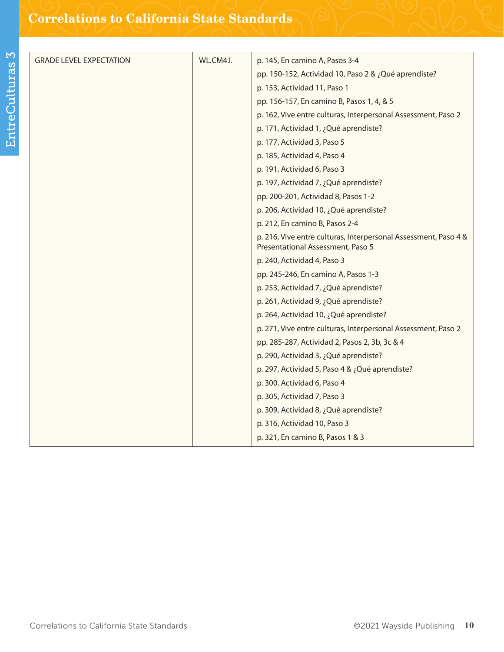| <b>GRADE LEVEL EXPECTATION</b> | WL.CM4.I. | p. 145, En camino A, Pasos 3-4                                                                       |
|--------------------------------|-----------|------------------------------------------------------------------------------------------------------|
|                                |           | pp. 150-152, Actividad 10, Paso 2 & ¿Qué aprendiste?                                                 |
|                                |           | p. 153, Actividad 11, Paso 1                                                                         |
|                                |           | pp. 156-157, En camino B, Pasos 1, 4, & 5                                                            |
|                                |           | p. 162, Vive entre culturas, Interpersonal Assessment, Paso 2                                        |
|                                |           | p. 171, Actividad 1, ¿Qué aprendiste?                                                                |
|                                |           | p. 177, Actividad 3, Paso 5                                                                          |
|                                |           | p. 185, Actividad 4, Paso 4                                                                          |
|                                |           | p. 191, Actividad 6, Paso 3                                                                          |
|                                |           | p. 197, Actividad 7, ¿Qué aprendiste?                                                                |
|                                |           | pp. 200-201, Actividad 8, Pasos 1-2                                                                  |
|                                |           | p. 206, Actividad 10, ¿Qué aprendiste?                                                               |
|                                |           | p. 212, En camino B, Pasos 2-4                                                                       |
|                                |           | p. 216, Vive entre culturas, Interpersonal Assessment, Paso 4 &<br>Presentational Assessment, Paso 5 |
|                                |           | p. 240, Actividad 4, Paso 3                                                                          |
|                                |           | pp. 245-246, En camino A, Pasos 1-3                                                                  |
|                                |           | p. 253, Actividad 7, ¿Qué aprendiste?                                                                |
|                                |           | p. 261, Actividad 9, ¿Qué aprendiste?                                                                |
|                                |           | p. 264, Actividad 10, ¿Qué aprendiste?                                                               |
|                                |           | p. 271, Vive entre culturas, Interpersonal Assessment, Paso 2                                        |
|                                |           | pp. 285-287, Actividad 2, Pasos 2, 3b, 3c & 4                                                        |
|                                |           | p. 290, Actividad 3, ¿Qué aprendiste?                                                                |
|                                |           | p. 297, Actividad 5, Paso 4 & ¿Qué aprendiste?                                                       |
|                                |           | p. 300, Actividad 6, Paso 4                                                                          |
|                                |           | p. 305, Actividad 7, Paso 3                                                                          |
|                                |           | p. 309, Actividad 8, ¿Qué aprendiste?                                                                |
|                                |           | p. 316, Actividad 10, Paso 3                                                                         |
|                                |           | p. 321, En camino B, Pasos 1 & 3                                                                     |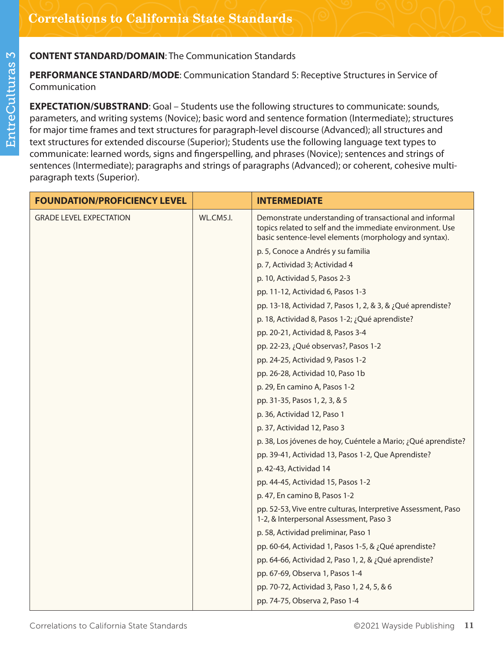**PERFORMANCE STANDARD/MODE**: Communication Standard 5: Receptive Structures in Service of Communication

**EXPECTATION/SUBSTRAND:** Goal – Students use the following structures to communicate: sounds, parameters, and writing systems (Novice); basic word and sentence formation (Intermediate); structures for major time frames and text structures for paragraph-level discourse (Advanced); all structures and text structures for extended discourse (Superior); Students use the following language text types to communicate: learned words, signs and fingerspelling, and phrases (Novice); sentences and strings of sentences (Intermediate); paragraphs and strings of paragraphs (Advanced); or coherent, cohesive multiparagraph texts (Superior).

| <b>FOUNDATION/PROFICIENCY LEVEL</b> |           | <b>INTERMEDIATE</b>                                                                                                                                                            |
|-------------------------------------|-----------|--------------------------------------------------------------------------------------------------------------------------------------------------------------------------------|
| <b>GRADE LEVEL EXPECTATION</b>      | WL.CM5.I. | Demonstrate understanding of transactional and informal<br>topics related to self and the immediate environment. Use<br>basic sentence-level elements (morphology and syntax). |
|                                     |           | p. 5, Conoce a Andrés y su familia                                                                                                                                             |
|                                     |           | p. 7, Actividad 3; Actividad 4                                                                                                                                                 |
|                                     |           | p. 10, Actividad 5, Pasos 2-3                                                                                                                                                  |
|                                     |           | pp. 11-12, Actividad 6, Pasos 1-3                                                                                                                                              |
|                                     |           | pp. 13-18, Actividad 7, Pasos 1, 2, & 3, & ¿Qué aprendiste?                                                                                                                    |
|                                     |           | p. 18, Actividad 8, Pasos 1-2; ¿Qué aprendiste?                                                                                                                                |
|                                     |           | pp. 20-21, Actividad 8, Pasos 3-4                                                                                                                                              |
|                                     |           | pp. 22-23, ¿Qué observas?, Pasos 1-2                                                                                                                                           |
|                                     |           | pp. 24-25, Actividad 9, Pasos 1-2                                                                                                                                              |
|                                     |           | pp. 26-28, Actividad 10, Paso 1b                                                                                                                                               |
|                                     |           | p. 29, En camino A, Pasos 1-2                                                                                                                                                  |
|                                     |           | pp. 31-35, Pasos 1, 2, 3, & 5                                                                                                                                                  |
|                                     |           | p. 36, Actividad 12, Paso 1                                                                                                                                                    |
|                                     |           | p. 37, Actividad 12, Paso 3                                                                                                                                                    |
|                                     |           | p. 38, Los jóvenes de hoy, Cuéntele a Mario; ¿Qué aprendiste?                                                                                                                  |
|                                     |           | pp. 39-41, Actividad 13, Pasos 1-2, Que Aprendiste?                                                                                                                            |
|                                     |           | p. 42-43, Actividad 14                                                                                                                                                         |
|                                     |           | pp. 44-45, Actividad 15, Pasos 1-2                                                                                                                                             |
|                                     |           | p. 47, En camino B, Pasos 1-2                                                                                                                                                  |
|                                     |           | pp. 52-53, Vive entre culturas, Interpretive Assessment, Paso<br>1-2, & Interpersonal Assessment, Paso 3                                                                       |
|                                     |           | p. 58, Actividad preliminar, Paso 1                                                                                                                                            |
|                                     |           | pp. 60-64, Actividad 1, Pasos 1-5, & ¿Qué aprendiste?                                                                                                                          |
|                                     |           | pp. 64-66, Actividad 2, Paso 1, 2, & ¿Qué aprendiste?                                                                                                                          |
|                                     |           | pp. 67-69, Observa 1, Pasos 1-4                                                                                                                                                |
|                                     |           | pp. 70-72, Actividad 3, Paso 1, 24, 5, & 6                                                                                                                                     |
|                                     |           | pp. 74-75, Observa 2, Paso 1-4                                                                                                                                                 |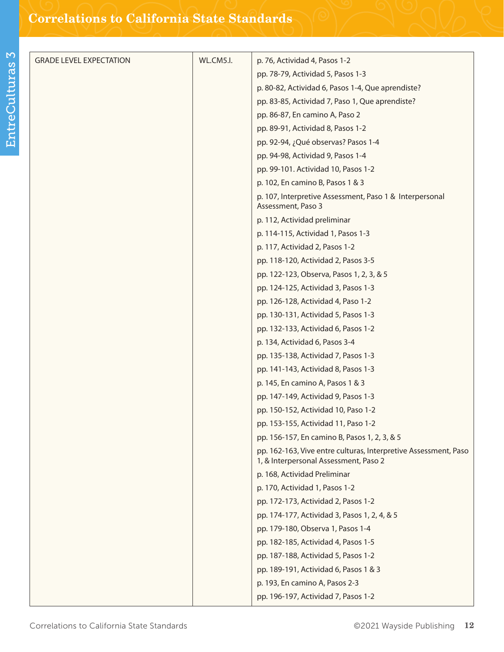| <b>GRADE LEVEL EXPECTATION</b> | WL.CM5.I. | p. 76, Actividad 4, Pasos 1-2                                                                            |
|--------------------------------|-----------|----------------------------------------------------------------------------------------------------------|
|                                |           | pp. 78-79, Actividad 5, Pasos 1-3                                                                        |
|                                |           | p. 80-82, Actividad 6, Pasos 1-4, Que aprendiste?                                                        |
|                                |           | pp. 83-85, Actividad 7, Paso 1, Que aprendiste?                                                          |
|                                |           | pp. 86-87, En camino A, Paso 2                                                                           |
|                                |           | pp. 89-91, Actividad 8, Pasos 1-2                                                                        |
|                                |           | pp. 92-94, ¿Qué observas? Pasos 1-4                                                                      |
|                                |           | pp. 94-98, Actividad 9, Pasos 1-4                                                                        |
|                                |           | pp. 99-101. Actividad 10, Pasos 1-2                                                                      |
|                                |           | p. 102, En camino B, Pasos 1 & 3                                                                         |
|                                |           | p. 107, Interpretive Assessment, Paso 1 & Interpersonal<br>Assessment, Paso 3                            |
|                                |           | p. 112, Actividad preliminar                                                                             |
|                                |           | p. 114-115, Actividad 1, Pasos 1-3                                                                       |
|                                |           | p. 117, Actividad 2, Pasos 1-2                                                                           |
|                                |           | pp. 118-120, Actividad 2, Pasos 3-5                                                                      |
|                                |           | pp. 122-123, Observa, Pasos 1, 2, 3, & 5                                                                 |
|                                |           | pp. 124-125, Actividad 3, Pasos 1-3                                                                      |
|                                |           | pp. 126-128, Actividad 4, Paso 1-2                                                                       |
|                                |           | pp. 130-131, Actividad 5, Pasos 1-3                                                                      |
|                                |           | pp. 132-133, Actividad 6, Pasos 1-2                                                                      |
|                                |           | p. 134, Actividad 6, Pasos 3-4                                                                           |
|                                |           | pp. 135-138, Actividad 7, Pasos 1-3                                                                      |
|                                |           | pp. 141-143, Actividad 8, Pasos 1-3                                                                      |
|                                |           | p. 145, En camino A, Pasos 1 & 3                                                                         |
|                                |           | pp. 147-149, Actividad 9, Pasos 1-3                                                                      |
|                                |           | pp. 150-152, Actividad 10, Paso 1-2                                                                      |
|                                |           | pp. 153-155, Actividad 11, Paso 1-2                                                                      |
|                                |           | pp. 156-157, En camino B, Pasos 1, 2, 3, & 5                                                             |
|                                |           | pp. 162-163, Vive entre culturas, Interpretive Assessment, Paso<br>1, & Interpersonal Assessment, Paso 2 |
|                                |           | p. 168, Actividad Preliminar                                                                             |
|                                |           | p. 170, Actividad 1, Pasos 1-2                                                                           |
|                                |           | pp. 172-173, Actividad 2, Pasos 1-2                                                                      |
|                                |           | pp. 174-177, Actividad 3, Pasos 1, 2, 4, & 5                                                             |
|                                |           | pp. 179-180, Observa 1, Pasos 1-4                                                                        |
|                                |           | pp. 182-185, Actividad 4, Pasos 1-5                                                                      |
|                                |           | pp. 187-188, Actividad 5, Pasos 1-2                                                                      |
|                                |           | pp. 189-191, Actividad 6, Pasos 1 & 3                                                                    |
|                                |           | p. 193, En camino A, Pasos 2-3                                                                           |
|                                |           | pp. 196-197, Actividad 7, Pasos 1-2                                                                      |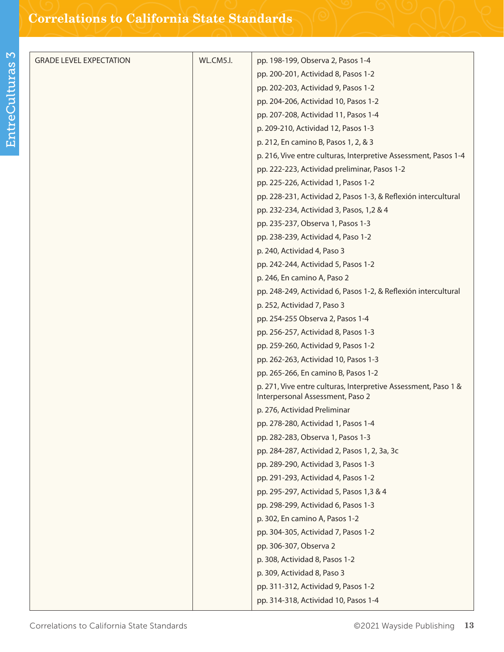| <b>GRADE LEVEL EXPECTATION</b> | WL.CM5.I. | pp. 198-199, Observa 2, Pasos 1-4                                                                  |
|--------------------------------|-----------|----------------------------------------------------------------------------------------------------|
|                                |           | pp. 200-201, Actividad 8, Pasos 1-2                                                                |
|                                |           | pp. 202-203, Actividad 9, Pasos 1-2                                                                |
|                                |           | pp. 204-206, Actividad 10, Pasos 1-2                                                               |
|                                |           | pp. 207-208, Actividad 11, Pasos 1-4                                                               |
|                                |           | p. 209-210, Actividad 12, Pasos 1-3                                                                |
|                                |           | p. 212, En camino B, Pasos 1, 2, & 3                                                               |
|                                |           | p. 216, Vive entre culturas, Interpretive Assessment, Pasos 1-4                                    |
|                                |           | pp. 222-223, Actividad preliminar, Pasos 1-2                                                       |
|                                |           | pp. 225-226, Actividad 1, Pasos 1-2                                                                |
|                                |           | pp. 228-231, Actividad 2, Pasos 1-3, & Reflexión intercultural                                     |
|                                |           | pp. 232-234, Actividad 3, Pasos, 1,2 & 4                                                           |
|                                |           | pp. 235-237, Observa 1, Pasos 1-3                                                                  |
|                                |           | pp. 238-239, Actividad 4, Paso 1-2                                                                 |
|                                |           | p. 240, Actividad 4, Paso 3                                                                        |
|                                |           | pp. 242-244, Actividad 5, Pasos 1-2                                                                |
|                                |           | p. 246, En camino A, Paso 2                                                                        |
|                                |           | pp. 248-249, Actividad 6, Pasos 1-2, & Reflexión intercultural                                     |
|                                |           | p. 252, Actividad 7, Paso 3                                                                        |
|                                |           | pp. 254-255 Observa 2, Pasos 1-4                                                                   |
|                                |           | pp. 256-257, Actividad 8, Pasos 1-3                                                                |
|                                |           | pp. 259-260, Actividad 9, Pasos 1-2                                                                |
|                                |           | pp. 262-263, Actividad 10, Pasos 1-3                                                               |
|                                |           | pp. 265-266, En camino B, Pasos 1-2                                                                |
|                                |           | p. 271, Vive entre culturas, Interpretive Assessment, Paso 1 &<br>Interpersonal Assessment, Paso 2 |
|                                |           | p. 276, Actividad Preliminar                                                                       |
|                                |           | pp. 278-280, Actividad 1, Pasos 1-4                                                                |
|                                |           | pp. 282-283, Observa 1, Pasos 1-3                                                                  |
|                                |           | pp. 284-287, Actividad 2, Pasos 1, 2, 3a, 3c                                                       |
|                                |           | pp. 289-290, Actividad 3, Pasos 1-3                                                                |
|                                |           | pp. 291-293, Actividad 4, Pasos 1-2                                                                |
|                                |           | pp. 295-297, Actividad 5, Pasos 1,3 & 4                                                            |
|                                |           | pp. 298-299, Actividad 6, Pasos 1-3                                                                |
|                                |           | p. 302, En camino A, Pasos 1-2                                                                     |
|                                |           | pp. 304-305, Actividad 7, Pasos 1-2                                                                |
|                                |           | pp. 306-307, Observa 2                                                                             |
|                                |           | p. 308, Actividad 8, Pasos 1-2                                                                     |
|                                |           | p. 309, Actividad 8, Paso 3                                                                        |
|                                |           | pp. 311-312, Actividad 9, Pasos 1-2                                                                |
|                                |           | pp. 314-318, Actividad 10, Pasos 1-4                                                               |
|                                |           |                                                                                                    |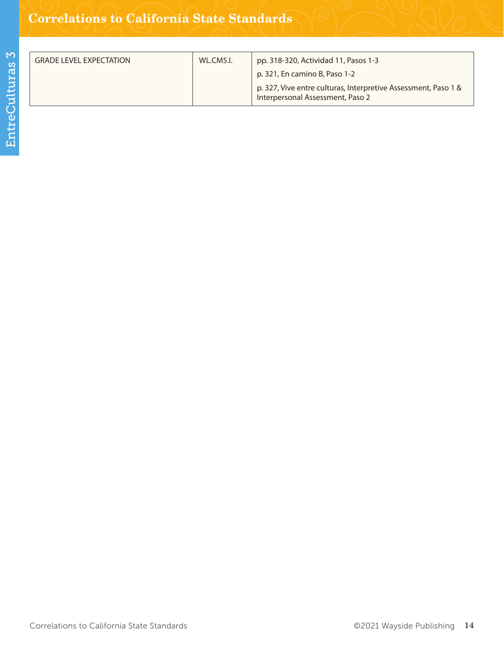| <b>GRADE LEVEL EXPECTATION</b> | WL.CM5.I. | pp. 318-320, Actividad 11, Pasos 1-3                                                               |
|--------------------------------|-----------|----------------------------------------------------------------------------------------------------|
|                                |           | p. 321, En camino B, Paso 1-2                                                                      |
|                                |           | p. 327, Vive entre culturas, Interpretive Assessment, Paso 1 &<br>Interpersonal Assessment, Paso 2 |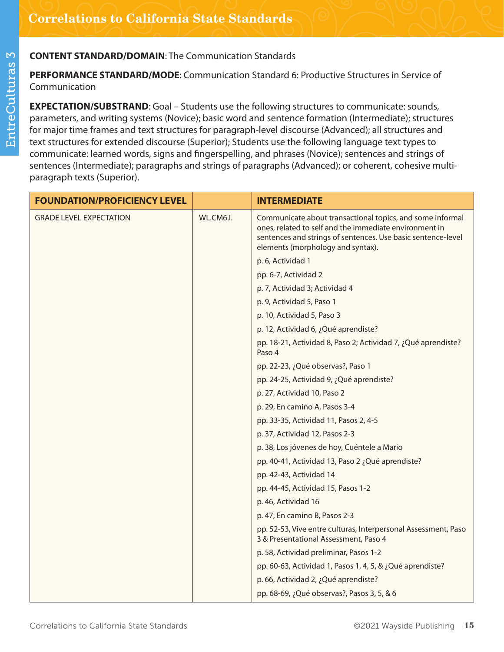**PERFORMANCE STANDARD/MODE**: Communication Standard 6: Productive Structures in Service of Communication

**EXPECTATION/SUBSTRAND**: Goal – Students use the following structures to communicate: sounds, parameters, and writing systems (Novice); basic word and sentence formation (Intermediate); structures for major time frames and text structures for paragraph-level discourse (Advanced); all structures and text structures for extended discourse (Superior); Students use the following language text types to communicate: learned words, signs and fingerspelling, and phrases (Novice); sentences and strings of sentences (Intermediate); paragraphs and strings of paragraphs (Advanced); or coherent, cohesive multiparagraph texts (Superior).

| <b>FOUNDATION/PROFICIENCY LEVEL</b> |           | <b>INTERMEDIATE</b>                                                                                                                                                                                                      |
|-------------------------------------|-----------|--------------------------------------------------------------------------------------------------------------------------------------------------------------------------------------------------------------------------|
| <b>GRADE LEVEL EXPECTATION</b>      | WL.CM6.I. | Communicate about transactional topics, and some informal<br>ones, related to self and the immediate environment in<br>sentences and strings of sentences. Use basic sentence-level<br>elements (morphology and syntax). |
|                                     |           | p. 6, Actividad 1                                                                                                                                                                                                        |
|                                     |           | pp. 6-7, Actividad 2                                                                                                                                                                                                     |
|                                     |           | p. 7, Actividad 3; Actividad 4                                                                                                                                                                                           |
|                                     |           | p. 9, Actividad 5, Paso 1                                                                                                                                                                                                |
|                                     |           | p. 10, Actividad 5, Paso 3                                                                                                                                                                                               |
|                                     |           | p. 12, Actividad 6, ¿Qué aprendiste?                                                                                                                                                                                     |
|                                     |           | pp. 18-21, Actividad 8, Paso 2; Actividad 7, ¿Qué aprendiste?<br>Paso 4                                                                                                                                                  |
|                                     |           | pp. 22-23, ¿Qué observas?, Paso 1                                                                                                                                                                                        |
|                                     |           | pp. 24-25, Actividad 9, ¿Qué aprendiste?                                                                                                                                                                                 |
|                                     |           | p. 27, Actividad 10, Paso 2                                                                                                                                                                                              |
|                                     |           | p. 29, En camino A, Pasos 3-4                                                                                                                                                                                            |
|                                     |           | pp. 33-35, Actividad 11, Pasos 2, 4-5                                                                                                                                                                                    |
|                                     |           | p. 37, Actividad 12, Pasos 2-3                                                                                                                                                                                           |
|                                     |           | p. 38, Los jóvenes de hoy, Cuéntele a Mario                                                                                                                                                                              |
|                                     |           | pp. 40-41, Actividad 13, Paso 2 ¿Qué aprendiste?                                                                                                                                                                         |
|                                     |           | pp. 42-43, Actividad 14                                                                                                                                                                                                  |
|                                     |           | pp. 44-45, Actividad 15, Pasos 1-2                                                                                                                                                                                       |
|                                     |           | p. 46, Actividad 16                                                                                                                                                                                                      |
|                                     |           | p. 47, En camino B, Pasos 2-3                                                                                                                                                                                            |
|                                     |           | pp. 52-53, Vive entre culturas, Interpersonal Assessment, Paso<br>3 & Presentational Assessment, Paso 4                                                                                                                  |
|                                     |           | p. 58, Actividad preliminar, Pasos 1-2                                                                                                                                                                                   |
|                                     |           | pp. 60-63, Actividad 1, Pasos 1, 4, 5, & ¿Qué aprendiste?                                                                                                                                                                |
|                                     |           | p. 66, Actividad 2, ¿Qué aprendiste?                                                                                                                                                                                     |
|                                     |           | pp. 68-69, ¿Qué observas?, Pasos 3, 5, & 6                                                                                                                                                                               |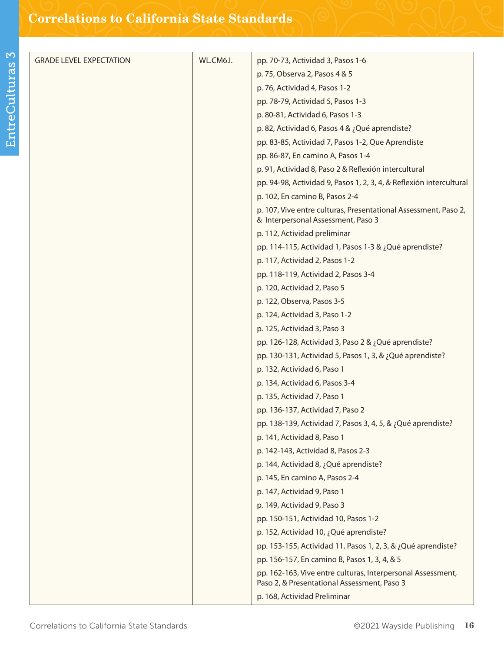| <b>GRADE LEVEL EXPECTATION</b> | WL.CM6.I. | pp. 70-73, Actividad 3, Pasos 1-6                                                                     |
|--------------------------------|-----------|-------------------------------------------------------------------------------------------------------|
|                                |           | p. 75, Observa 2, Pasos 4 & 5                                                                         |
|                                |           | p. 76, Actividad 4, Pasos 1-2                                                                         |
|                                |           | pp. 78-79, Actividad 5, Pasos 1-3                                                                     |
|                                |           | p. 80-81, Actividad 6, Pasos 1-3                                                                      |
|                                |           | p. 82, Actividad 6, Pasos 4 & ¿Qué aprendiste?                                                        |
|                                |           | pp. 83-85, Actividad 7, Pasos 1-2, Que Aprendiste                                                     |
|                                |           | pp. 86-87, En camino A, Pasos 1-4                                                                     |
|                                |           | p. 91, Actividad 8, Paso 2 & Reflexión intercultural                                                  |
|                                |           | pp. 94-98, Actividad 9, Pasos 1, 2, 3, 4, & Reflexión intercultural                                   |
|                                |           | p. 102, En camino B, Pasos 2-4                                                                        |
|                                |           | p. 107, Vive entre culturas, Presentational Assessment, Paso 2,<br>& Interpersonal Assessment, Paso 3 |
|                                |           | p. 112, Actividad preliminar                                                                          |
|                                |           | pp. 114-115, Actividad 1, Pasos 1-3 & ¿Qué aprendiste?                                                |
|                                |           | p. 117, Actividad 2, Pasos 1-2                                                                        |
|                                |           | pp. 118-119, Actividad 2, Pasos 3-4                                                                   |
|                                |           | p. 120, Actividad 2, Paso 5                                                                           |
|                                |           | p. 122, Observa, Pasos 3-5                                                                            |
|                                |           | p. 124, Actividad 3, Paso 1-2                                                                         |
|                                |           | p. 125, Actividad 3, Paso 3                                                                           |
|                                |           | pp. 126-128, Actividad 3, Paso 2 & ¿Qué aprendiste?                                                   |
|                                |           | pp. 130-131, Actividad 5, Pasos 1, 3, & ¿Qué aprendiste?                                              |
|                                |           | p. 132, Actividad 6, Paso 1                                                                           |
|                                |           | p. 134, Actividad 6, Pasos 3-4                                                                        |
|                                |           | p. 135, Actividad 7, Paso 1                                                                           |
|                                |           | pp. 136-137, Actividad 7, Paso 2                                                                      |
|                                |           | pp. 138-139, Actividad 7, Pasos 3, 4, 5, & ¿Qué aprendiste?                                           |
|                                |           | p. 141, Actividad 8, Paso 1                                                                           |
|                                |           | p. 142-143, Actividad 8, Pasos 2-3                                                                    |
|                                |           | p. 144, Actividad 8, ¿Qué aprendiste?                                                                 |
|                                |           | p. 145, En camino A, Pasos 2-4                                                                        |
|                                |           | p. 147, Actividad 9, Paso 1                                                                           |
|                                |           | p. 149, Actividad 9, Paso 3                                                                           |
|                                |           | pp. 150-151, Actividad 10, Pasos 1-2                                                                  |
|                                |           | p. 152, Actividad 10, ¿Qué aprendiste?                                                                |
|                                |           | pp. 153-155, Actividad 11, Pasos 1, 2, 3, & ¿Qué aprendiste?                                          |
|                                |           | pp. 156-157, En camino B, Pasos 1, 3, 4, & 5                                                          |
|                                |           | pp. 162-163, Vive entre culturas, Interpersonal Assessment,                                           |
|                                |           | Paso 2, & Presentational Assessment, Paso 3                                                           |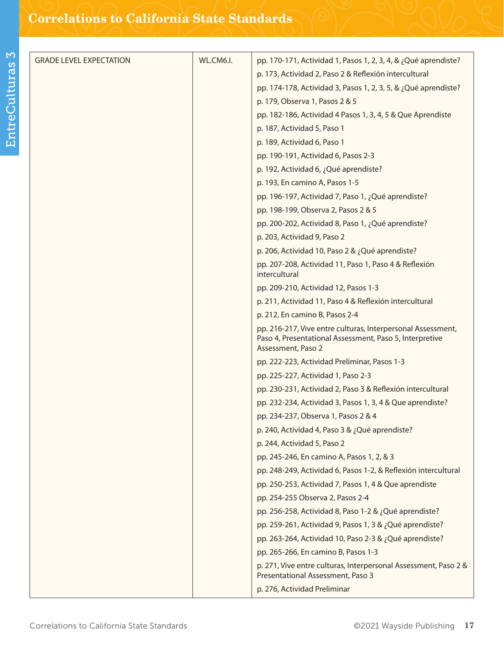| <b>GRADE LEVEL EXPECTATION</b> | WL.CM6.I. | pp. 170-171, Actividad 1, Pasos 1, 2, 3, 4, & ¿Qué aprendiste?                                                                               |
|--------------------------------|-----------|----------------------------------------------------------------------------------------------------------------------------------------------|
|                                |           | p. 173, Actividad 2, Paso 2 & Reflexión intercultural                                                                                        |
|                                |           | pp. 174-178, Actividad 3, Pasos 1, 2, 3, 5, & ¿Qué aprendiste?                                                                               |
|                                |           | p. 179, Observa 1, Pasos 2 & 5                                                                                                               |
|                                |           | pp. 182-186, Actividad 4 Pasos 1, 3, 4, 5 & Que Aprendiste                                                                                   |
|                                |           | p. 187, Actividad 5, Paso 1                                                                                                                  |
|                                |           | p. 189, Actividad 6, Paso 1                                                                                                                  |
|                                |           | pp. 190-191, Actividad 6, Pasos 2-3                                                                                                          |
|                                |           | p. 192, Actividad 6, ¿Qué aprendiste?                                                                                                        |
|                                |           | p. 193, En camino A, Pasos 1-5                                                                                                               |
|                                |           | pp. 196-197, Actividad 7, Paso 1, ¿Qué aprendiste?                                                                                           |
|                                |           | pp. 198-199, Observa 2, Pasos 2 & 5                                                                                                          |
|                                |           | pp. 200-202, Actividad 8, Paso 1, ¿Qué aprendiste?                                                                                           |
|                                |           | p. 203, Actividad 9, Paso 2                                                                                                                  |
|                                |           | p. 206, Actividad 10, Paso 2 & ¿Qué aprendiste?                                                                                              |
|                                |           | pp. 207-208, Actividad 11, Paso 1, Paso 4 & Reflexión<br>intercultural                                                                       |
|                                |           | pp. 209-210, Actividad 12, Pasos 1-3                                                                                                         |
|                                |           | p. 211, Actividad 11, Paso 4 & Reflexión intercultural                                                                                       |
|                                |           | p. 212, En camino B, Pasos 2-4                                                                                                               |
|                                |           | pp. 216-217, Vive entre culturas, Interpersonal Assessment,<br>Paso 4, Presentational Assessment, Paso 5, Interpretive<br>Assessment, Paso 2 |
|                                |           | pp. 222-223, Actividad Preliminar, Pasos 1-3                                                                                                 |
|                                |           | pp. 225-227, Actividad 1, Paso 2-3                                                                                                           |
|                                |           | pp. 230-231, Actividad 2, Paso 3 & Reflexión intercultural                                                                                   |
|                                |           | pp. 232-234, Actividad 3, Pasos 1, 3, 4 & Que aprendiste?                                                                                    |
|                                |           | pp. 234-237, Observa 1, Pasos 2 & 4                                                                                                          |
|                                |           | p. 240, Actividad 4, Paso 3 & ¿Qué aprendiste?                                                                                               |
|                                |           | p. 244, Actividad 5, Paso 2                                                                                                                  |
|                                |           | pp. 245-246, En camino A, Pasos 1, 2, & 3                                                                                                    |
|                                |           | pp. 248-249, Actividad 6, Pasos 1-2, & Reflexión intercultural                                                                               |
|                                |           | pp. 250-253, Actividad 7, Pasos 1, 4 & Que aprendiste                                                                                        |
|                                |           | pp. 254-255 Observa 2, Pasos 2-4                                                                                                             |
|                                |           | pp. 256-258, Actividad 8, Paso 1-2 & ¿Qué aprendiste?                                                                                        |
|                                |           | pp. 259-261, Actividad 9, Pasos 1, 3 & ¿Qué aprendiste?                                                                                      |
|                                |           | pp. 263-264, Actividad 10, Paso 2-3 & ¿Qué aprendiste?                                                                                       |
|                                |           | pp. 265-266, En camino B, Pasos 1-3                                                                                                          |
|                                |           | p. 271, Vive entre culturas, Interpersonal Assessment, Paso 2 &<br>Presentational Assessment, Paso 3                                         |
|                                |           | p. 276, Actividad Preliminar                                                                                                                 |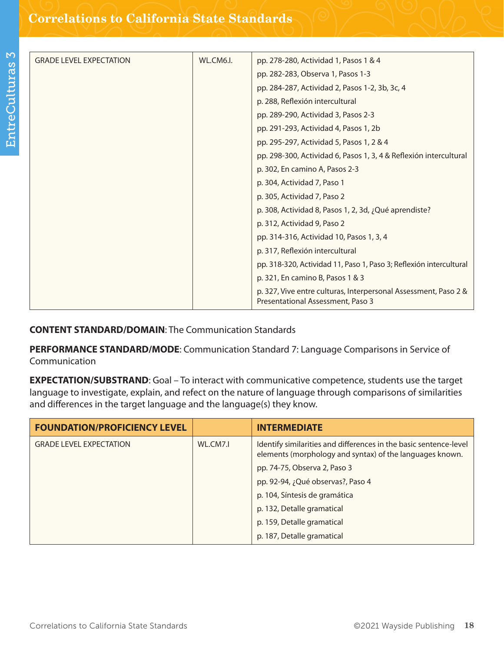| <b>GRADE LEVEL EXPECTATION</b> | WL.CM6.I. | pp. 278-280, Actividad 1, Pasos 1 & 4                                                                |
|--------------------------------|-----------|------------------------------------------------------------------------------------------------------|
|                                |           | pp. 282-283, Observa 1, Pasos 1-3                                                                    |
|                                |           | pp. 284-287, Actividad 2, Pasos 1-2, 3b, 3c, 4                                                       |
|                                |           | p. 288, Reflexión intercultural                                                                      |
|                                |           | pp. 289-290, Actividad 3, Pasos 2-3                                                                  |
|                                |           | pp. 291-293, Actividad 4, Pasos 1, 2b                                                                |
|                                |           | pp. 295-297, Actividad 5, Pasos 1, 2 & 4                                                             |
|                                |           | pp. 298-300, Actividad 6, Pasos 1, 3, 4 & Reflexión intercultural                                    |
|                                |           | p. 302, En camino A, Pasos 2-3                                                                       |
|                                |           | p. 304, Actividad 7, Paso 1                                                                          |
|                                |           | p. 305, Actividad 7, Paso 2                                                                          |
|                                |           | p. 308, Actividad 8, Pasos 1, 2, 3d, ¿Qué aprendiste?                                                |
|                                |           | p. 312, Actividad 9, Paso 2                                                                          |
|                                |           | pp. 314-316, Actividad 10, Pasos 1, 3, 4                                                             |
|                                |           | p. 317, Reflexión intercultural                                                                      |
|                                |           | pp. 318-320, Actividad 11, Paso 1, Paso 3; Reflexión intercultural                                   |
|                                |           | p. 321, En camino B, Pasos 1 & 3                                                                     |
|                                |           | p. 327, Vive entre culturas, Interpersonal Assessment, Paso 2 &<br>Presentational Assessment, Paso 3 |

**PERFORMANCE STANDARD/MODE**: Communication Standard 7: Language Comparisons in Service of Communication

**EXPECTATION/SUBSTRAND**: Goal – To interact with communicative competence, students use the target language to investigate, explain, and refect on the nature of language through comparisons of similarities and differences in the target language and the language(s) they know.

| <b>FOUNDATION/PROFICIENCY LEVEL</b> |          | <b>INTERMEDIATE</b>                                                                                                           |
|-------------------------------------|----------|-------------------------------------------------------------------------------------------------------------------------------|
| <b>GRADE LEVEL EXPECTATION</b>      | WL.CM7.I | Identify similarities and differences in the basic sentence-level<br>elements (morphology and syntax) of the languages known. |
|                                     |          | pp. 74-75, Observa 2, Paso 3                                                                                                  |
|                                     |          | pp. 92-94, ¿Qué observas?, Paso 4                                                                                             |
|                                     |          | p. 104, Síntesis de gramática                                                                                                 |
|                                     |          | p. 132, Detalle gramatical                                                                                                    |
|                                     |          | p. 159, Detalle gramatical                                                                                                    |
|                                     |          | p. 187, Detalle gramatical                                                                                                    |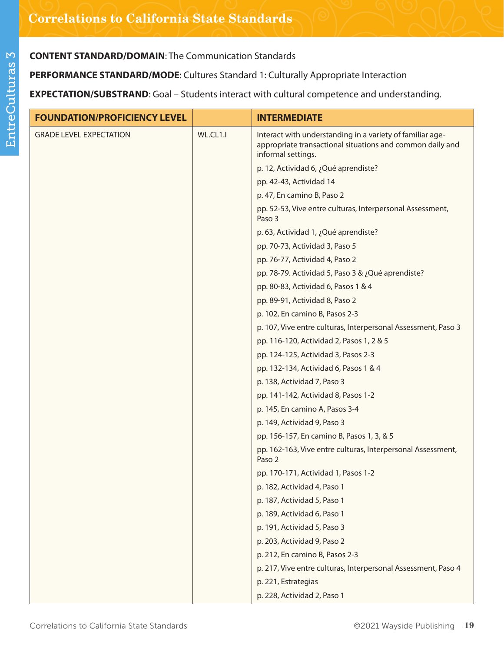**PERFORMANCE STANDARD/MODE**: Cultures Standard 1: Culturally Appropriate Interaction

**EXPECTATION/SUBSTRAND**: Goal – Students interact with cultural competence and understanding.

| <b>FOUNDATION/PROFICIENCY LEVEL</b> |          | <b>INTERMEDIATE</b>                                                                                                                          |
|-------------------------------------|----------|----------------------------------------------------------------------------------------------------------------------------------------------|
| <b>GRADE LEVEL EXPECTATION</b>      | WL.CL1.I | Interact with understanding in a variety of familiar age-<br>appropriate transactional situations and common daily and<br>informal settings. |
|                                     |          | p. 12, Actividad 6, ¿Qué aprendiste?                                                                                                         |
|                                     |          | pp. 42-43, Actividad 14                                                                                                                      |
|                                     |          | p. 47, En camino B, Paso 2                                                                                                                   |
|                                     |          | pp. 52-53, Vive entre culturas, Interpersonal Assessment,<br>Paso 3                                                                          |
|                                     |          | p. 63, Actividad 1, ¿Qué aprendiste?                                                                                                         |
|                                     |          | pp. 70-73, Actividad 3, Paso 5                                                                                                               |
|                                     |          | pp. 76-77, Actividad 4, Paso 2                                                                                                               |
|                                     |          | pp. 78-79. Actividad 5, Paso 3 & ¿Qué aprendiste?                                                                                            |
|                                     |          | pp. 80-83, Actividad 6, Pasos 1 & 4                                                                                                          |
|                                     |          | pp. 89-91, Actividad 8, Paso 2                                                                                                               |
|                                     |          | p. 102, En camino B, Pasos 2-3                                                                                                               |
|                                     |          | p. 107, Vive entre culturas, Interpersonal Assessment, Paso 3                                                                                |
|                                     |          | pp. 116-120, Actividad 2, Pasos 1, 2 & 5                                                                                                     |
|                                     |          | pp. 124-125, Actividad 3, Pasos 2-3                                                                                                          |
|                                     |          | pp. 132-134, Actividad 6, Pasos 1 & 4                                                                                                        |
|                                     |          | p. 138, Actividad 7, Paso 3                                                                                                                  |
|                                     |          | pp. 141-142, Actividad 8, Pasos 1-2                                                                                                          |
|                                     |          | p. 145, En camino A, Pasos 3-4                                                                                                               |
|                                     |          | p. 149, Actividad 9, Paso 3                                                                                                                  |
|                                     |          | pp. 156-157, En camino B, Pasos 1, 3, & 5                                                                                                    |
|                                     |          | pp. 162-163, Vive entre culturas, Interpersonal Assessment,<br>Paso 2                                                                        |
|                                     |          | pp. 170-171, Actividad 1, Pasos 1-2                                                                                                          |
|                                     |          | p. 182, Actividad 4, Paso 1                                                                                                                  |
|                                     |          | p. 187, Actividad 5, Paso 1                                                                                                                  |
|                                     |          | p. 189, Actividad 6, Paso 1                                                                                                                  |
|                                     |          | p. 191, Actividad 5, Paso 3                                                                                                                  |
|                                     |          | p. 203, Actividad 9, Paso 2                                                                                                                  |
|                                     |          | p. 212, En camino B, Pasos 2-3                                                                                                               |
|                                     |          | p. 217, Vive entre culturas, Interpersonal Assessment, Paso 4                                                                                |
|                                     |          | p. 221, Estrategias                                                                                                                          |
|                                     |          | p. 228, Actividad 2, Paso 1                                                                                                                  |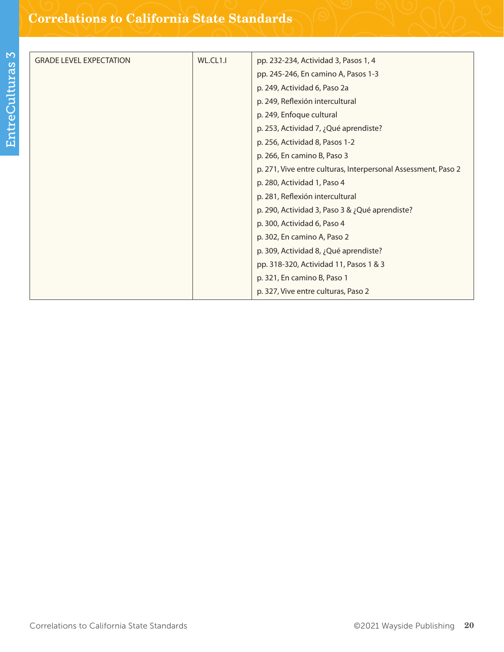| <b>GRADE LEVEL EXPECTATION</b> | WL.CL1.I | pp. 232-234, Actividad 3, Pasos 1, 4                          |
|--------------------------------|----------|---------------------------------------------------------------|
|                                |          | pp. 245-246, En camino A, Pasos 1-3                           |
|                                |          | p. 249, Actividad 6, Paso 2a                                  |
|                                |          | p. 249, Reflexión intercultural                               |
|                                |          | p. 249, Enfoque cultural                                      |
|                                |          | p. 253, Actividad 7, ¿Qué aprendiste?                         |
|                                |          | p. 256, Actividad 8, Pasos 1-2                                |
|                                |          | p. 266, En camino B, Paso 3                                   |
|                                |          | p. 271, Vive entre culturas, Interpersonal Assessment, Paso 2 |
|                                |          | p. 280, Actividad 1, Paso 4                                   |
|                                |          | p. 281, Reflexión intercultural                               |
|                                |          | p. 290, Actividad 3, Paso 3 & ¿Qué aprendiste?                |
|                                |          | p. 300, Actividad 6, Paso 4                                   |
|                                |          | p. 302, En camino A, Paso 2                                   |
|                                |          | p. 309, Actividad 8, ¿Qué aprendiste?                         |
|                                |          | pp. 318-320, Actividad 11, Pasos 1 & 3                        |
|                                |          | p. 321, En camino B, Paso 1                                   |
|                                |          | p. 327, Vive entre culturas, Paso 2                           |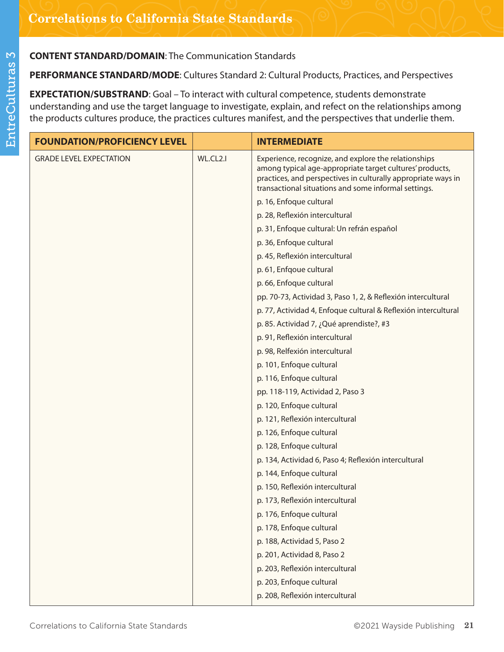**PERFORMANCE STANDARD/MODE**: Cultures Standard 2: Cultural Products, Practices, and Perspectives

**EXPECTATION/SUBSTRAND**: Goal – To interact with cultural competence, students demonstrate understanding and use the target language to investigate, explain, and refect on the relationships among the products cultures produce, the practices cultures manifest, and the perspectives that underlie them.

| <b>FOUNDATION/PROFICIENCY LEVEL</b> |          | <b>INTERMEDIATE</b>                                                                                                                                                                                                                       |
|-------------------------------------|----------|-------------------------------------------------------------------------------------------------------------------------------------------------------------------------------------------------------------------------------------------|
| <b>GRADE LEVEL EXPECTATION</b>      | WL.CL2.I | Experience, recognize, and explore the relationships<br>among typical age-appropriate target cultures' products,<br>practices, and perspectives in culturally appropriate ways in<br>transactional situations and some informal settings. |
|                                     |          | p. 16, Enfoque cultural                                                                                                                                                                                                                   |
|                                     |          | p. 28, Reflexión intercultural                                                                                                                                                                                                            |
|                                     |          | p. 31, Enfoque cultural: Un refrán español                                                                                                                                                                                                |
|                                     |          | p. 36, Enfoque cultural                                                                                                                                                                                                                   |
|                                     |          | p. 45, Reflexión intercultural                                                                                                                                                                                                            |
|                                     |          | p. 61, Enfqoue cultural                                                                                                                                                                                                                   |
|                                     |          | p. 66, Enfoque cultural                                                                                                                                                                                                                   |
|                                     |          | pp. 70-73, Actividad 3, Paso 1, 2, & Reflexión intercultural                                                                                                                                                                              |
|                                     |          | p. 77, Actividad 4, Enfoque cultural & Reflexión intercultural                                                                                                                                                                            |
|                                     |          | p. 85. Actividad 7, ¿Qué aprendiste?, #3                                                                                                                                                                                                  |
|                                     |          | p. 91, Reflexión intercultural                                                                                                                                                                                                            |
|                                     |          | p. 98, Relfexión intercultural                                                                                                                                                                                                            |
|                                     |          | p. 101, Enfoque cultural                                                                                                                                                                                                                  |
|                                     |          | p. 116, Enfoque cultural                                                                                                                                                                                                                  |
|                                     |          | pp. 118-119, Actividad 2, Paso 3                                                                                                                                                                                                          |
|                                     |          | p. 120, Enfoque cultural                                                                                                                                                                                                                  |
|                                     |          | p. 121, Reflexión intercultural                                                                                                                                                                                                           |
|                                     |          | p. 126, Enfoque cultural                                                                                                                                                                                                                  |
|                                     |          | p. 128, Enfoque cultural                                                                                                                                                                                                                  |
|                                     |          | p. 134, Actividad 6, Paso 4; Reflexión intercultural                                                                                                                                                                                      |
|                                     |          | p. 144, Enfoque cultural                                                                                                                                                                                                                  |
|                                     |          | p. 150, Reflexión intercultural                                                                                                                                                                                                           |
|                                     |          | p. 173, Reflexión intercultural                                                                                                                                                                                                           |
|                                     |          | p. 176, Enfoque cultural                                                                                                                                                                                                                  |
|                                     |          | p. 178, Enfoque cultural                                                                                                                                                                                                                  |
|                                     |          | p. 188, Actividad 5, Paso 2                                                                                                                                                                                                               |
|                                     |          | p. 201, Actividad 8, Paso 2                                                                                                                                                                                                               |
|                                     |          | p. 203, Reflexión intercultural                                                                                                                                                                                                           |
|                                     |          | p. 203, Enfoque cultural                                                                                                                                                                                                                  |
|                                     |          | p. 208, Reflexión intercultural                                                                                                                                                                                                           |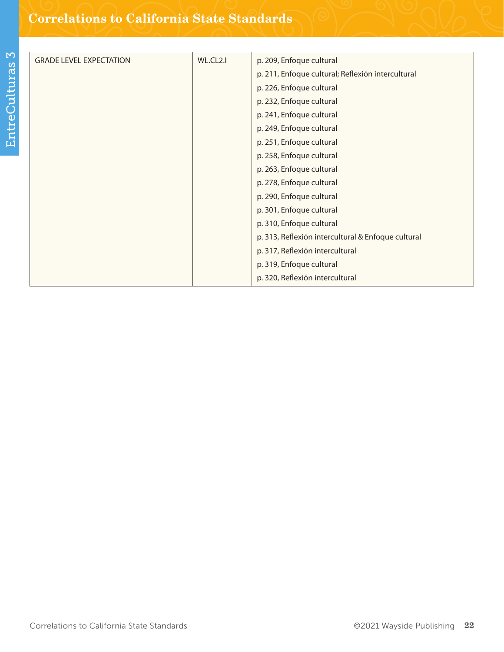| WL.CL2.I | p. 209, Enfoque cultural                           |
|----------|----------------------------------------------------|
|          | p. 211, Enfoque cultural; Reflexión intercultural  |
|          | p. 226, Enfoque cultural                           |
|          | p. 232, Enfoque cultural                           |
|          | p. 241, Enfoque cultural                           |
|          | p. 249, Enfoque cultural                           |
|          | p. 251, Enfoque cultural                           |
|          | p. 258, Enfoque cultural                           |
|          | p. 263, Enfoque cultural                           |
|          | p. 278, Enfoque cultural                           |
|          | p. 290, Enfoque cultural                           |
|          | p. 301, Enfoque cultural                           |
|          | p. 310, Enfoque cultural                           |
|          | p. 313, Reflexión intercultural & Enfoque cultural |
|          | p. 317, Reflexión intercultural                    |
|          | p. 319, Enfoque cultural                           |
|          | p. 320, Reflexión intercultural                    |
|          |                                                    |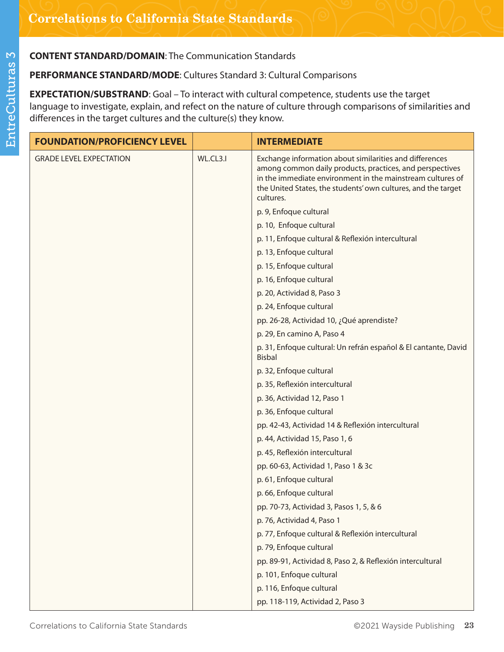## **PERFORMANCE STANDARD/MODE**: Cultures Standard 3: Cultural Comparisons

**EXPECTATION/SUBSTRAND**: Goal – To interact with cultural competence, students use the target language to investigate, explain, and refect on the nature of culture through comparisons of similarities and differences in the target cultures and the culture(s) they know.

| <b>FOUNDATION/PROFICIENCY LEVEL</b> |          | <b>INTERMEDIATE</b>                                                                                                                                                                                                                                             |
|-------------------------------------|----------|-----------------------------------------------------------------------------------------------------------------------------------------------------------------------------------------------------------------------------------------------------------------|
| <b>GRADE LEVEL EXPECTATION</b>      | WL.CL3.I | Exchange information about similarities and differences<br>among common daily products, practices, and perspectives<br>in the immediate environment in the mainstream cultures of<br>the United States, the students' own cultures, and the target<br>cultures. |
|                                     |          | p. 9, Enfoque cultural                                                                                                                                                                                                                                          |
|                                     |          | p. 10, Enfoque cultural                                                                                                                                                                                                                                         |
|                                     |          | p. 11, Enfoque cultural & Reflexión intercultural                                                                                                                                                                                                               |
|                                     |          | p. 13, Enfoque cultural                                                                                                                                                                                                                                         |
|                                     |          | p. 15, Enfoque cultural                                                                                                                                                                                                                                         |
|                                     |          | p. 16, Enfoque cultural                                                                                                                                                                                                                                         |
|                                     |          | p. 20, Actividad 8, Paso 3                                                                                                                                                                                                                                      |
|                                     |          | p. 24, Enfoque cultural                                                                                                                                                                                                                                         |
|                                     |          | pp. 26-28, Actividad 10, ¿Qué aprendiste?                                                                                                                                                                                                                       |
|                                     |          | p. 29, En camino A, Paso 4                                                                                                                                                                                                                                      |
|                                     |          | p. 31, Enfoque cultural: Un refrán español & El cantante, David<br><b>Bisbal</b>                                                                                                                                                                                |
|                                     |          | p. 32, Enfoque cultural                                                                                                                                                                                                                                         |
|                                     |          | p. 35, Reflexión intercultural                                                                                                                                                                                                                                  |
|                                     |          | p. 36, Actividad 12, Paso 1                                                                                                                                                                                                                                     |
|                                     |          | p. 36, Enfoque cultural                                                                                                                                                                                                                                         |
|                                     |          | pp. 42-43, Actividad 14 & Reflexión intercultural                                                                                                                                                                                                               |
|                                     |          | p. 44, Actividad 15, Paso 1, 6                                                                                                                                                                                                                                  |
|                                     |          | p. 45, Reflexión intercultural                                                                                                                                                                                                                                  |
|                                     |          | pp. 60-63, Actividad 1, Paso 1 & 3c                                                                                                                                                                                                                             |
|                                     |          | p. 61, Enfoque cultural                                                                                                                                                                                                                                         |
|                                     |          | p. 66, Enfoque cultural                                                                                                                                                                                                                                         |
|                                     |          | pp. 70-73, Actividad 3, Pasos 1, 5, & 6                                                                                                                                                                                                                         |
|                                     |          | p. 76, Actividad 4, Paso 1                                                                                                                                                                                                                                      |
|                                     |          | p. 77, Enfoque cultural & Reflexión intercultural                                                                                                                                                                                                               |
|                                     |          | p. 79, Enfoque cultural                                                                                                                                                                                                                                         |
|                                     |          | pp. 89-91, Actividad 8, Paso 2, & Reflexión intercultural                                                                                                                                                                                                       |
|                                     |          | p. 101, Enfoque cultural                                                                                                                                                                                                                                        |
|                                     |          | p. 116, Enfoque cultural                                                                                                                                                                                                                                        |
|                                     |          | pp. 118-119, Actividad 2, Paso 3                                                                                                                                                                                                                                |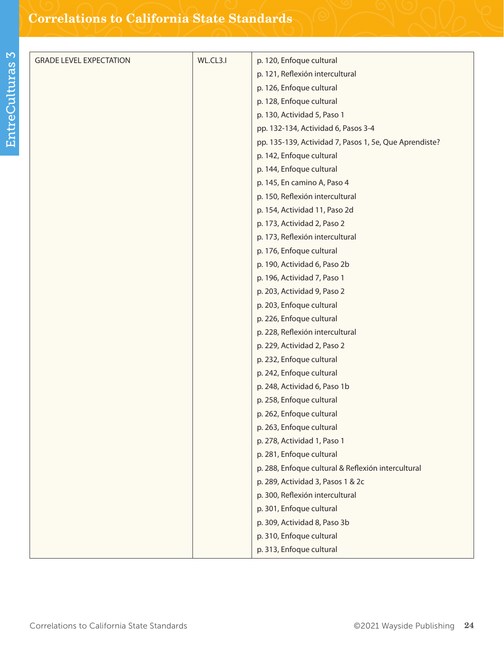| <b>GRADE LEVEL EXPECTATION</b> | WL.CL3.I | p. 120, Enfoque cultural                               |
|--------------------------------|----------|--------------------------------------------------------|
|                                |          | p. 121, Reflexión intercultural                        |
|                                |          | p. 126, Enfoque cultural                               |
|                                |          | p. 128, Enfoque cultural                               |
|                                |          | p. 130, Actividad 5, Paso 1                            |
|                                |          | pp. 132-134, Actividad 6, Pasos 3-4                    |
|                                |          | pp. 135-139, Actividad 7, Pasos 1, 5e, Que Aprendiste? |
|                                |          | p. 142, Enfoque cultural                               |
|                                |          | p. 144, Enfoque cultural                               |
|                                |          | p. 145, En camino A, Paso 4                            |
|                                |          | p. 150, Reflexión intercultural                        |
|                                |          | p. 154, Actividad 11, Paso 2d                          |
|                                |          | p. 173, Actividad 2, Paso 2                            |
|                                |          | p. 173, Reflexión intercultural                        |
|                                |          | p. 176, Enfoque cultural                               |
|                                |          | p. 190, Actividad 6, Paso 2b                           |
|                                |          | p. 196, Actividad 7, Paso 1                            |
|                                |          | p. 203, Actividad 9, Paso 2                            |
|                                |          | p. 203, Enfoque cultural                               |
|                                |          | p. 226, Enfoque cultural                               |
|                                |          | p. 228, Reflexión intercultural                        |
|                                |          | p. 229, Actividad 2, Paso 2                            |
|                                |          | p. 232, Enfoque cultural                               |
|                                |          | p. 242, Enfoque cultural                               |
|                                |          | p. 248, Actividad 6, Paso 1b                           |
|                                |          | p. 258, Enfoque cultural                               |
|                                |          | p. 262, Enfoque cultural                               |
|                                |          | p. 263, Enfoque cultural                               |
|                                |          | p. 278, Actividad 1, Paso 1                            |
|                                |          | p. 281, Enfoque cultural                               |
|                                |          | p. 288, Enfoque cultural & Reflexión intercultural     |
|                                |          | p. 289, Actividad 3, Pasos 1 & 2c                      |
|                                |          | p. 300, Reflexión intercultural                        |
|                                |          | p. 301, Enfoque cultural                               |
|                                |          | p. 309, Actividad 8, Paso 3b                           |
|                                |          | p. 310, Enfoque cultural                               |
|                                |          | p. 313, Enfoque cultural                               |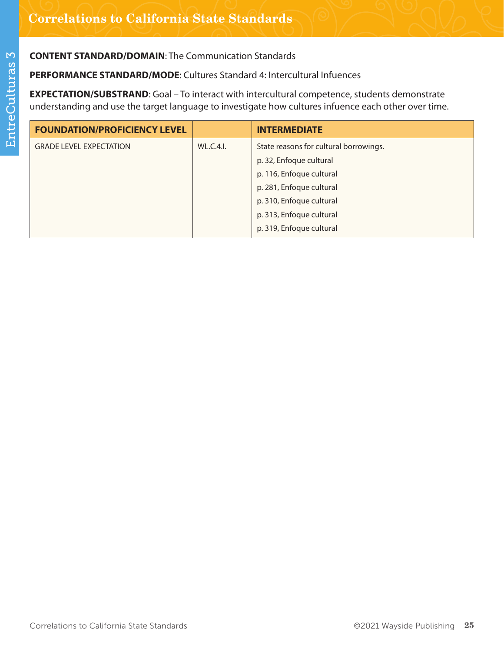**PERFORMANCE STANDARD/MODE**: Cultures Standard 4: Intercultural Infuences

**EXPECTATION/SUBSTRAND**: Goal – To interact with intercultural competence, students demonstrate understanding and use the target language to investigate how cultures infuence each other over time.

| <b>FOUNDATION/PROFICIENCY LEVEL</b> |                  | <b>INTERMEDIATE</b>                    |
|-------------------------------------|------------------|----------------------------------------|
| <b>GRADE LEVEL EXPECTATION</b>      | <b>WL.C.4.I.</b> | State reasons for cultural borrowings. |
|                                     |                  | p. 32, Enfoque cultural                |
|                                     |                  | p. 116, Enfoque cultural               |
|                                     |                  | p. 281, Enfoque cultural               |
|                                     |                  | p. 310, Enfoque cultural               |
|                                     |                  | p. 313, Enfoque cultural               |
|                                     |                  | p. 319, Enfoque cultural               |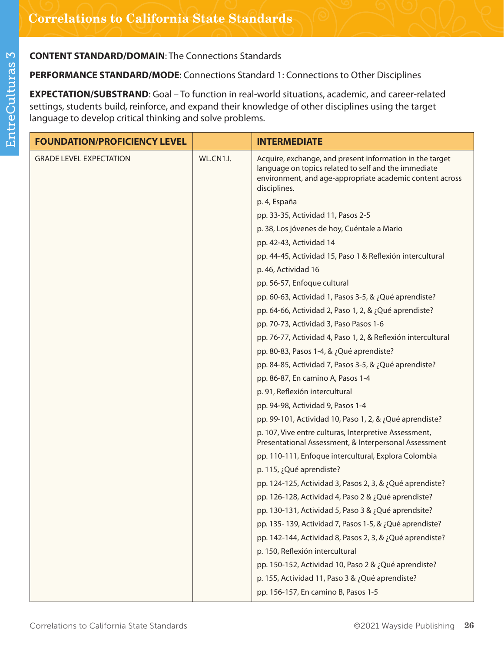# **PERFORMANCE STANDARD/MODE**: Connections Standard 1: Connections to Other Disciplines

**EXPECTATION/SUBSTRAND**: Goal – To function in real-world situations, academic, and career-related settings, students build, reinforce, and expand their knowledge of other disciplines using the target language to develop critical thinking and solve problems.

| <b>FOUNDATION/PROFICIENCY LEVEL</b> |           | <b>INTERMEDIATE</b>                                                                                                                                                                          |
|-------------------------------------|-----------|----------------------------------------------------------------------------------------------------------------------------------------------------------------------------------------------|
| <b>GRADE LEVEL EXPECTATION</b>      | WL.CN1.I. | Acquire, exchange, and present information in the target<br>language on topics related to self and the immediate<br>environment, and age-appropriate academic content across<br>disciplines. |
|                                     |           | p. 4, España                                                                                                                                                                                 |
|                                     |           | pp. 33-35, Actividad 11, Pasos 2-5                                                                                                                                                           |
|                                     |           | p. 38, Los jóvenes de hoy, Cuéntale a Mario                                                                                                                                                  |
|                                     |           | pp. 42-43, Actividad 14                                                                                                                                                                      |
|                                     |           | pp. 44-45, Actividad 15, Paso 1 & Reflexión intercultural                                                                                                                                    |
|                                     |           | p. 46, Actividad 16                                                                                                                                                                          |
|                                     |           | pp. 56-57, Enfoque cultural                                                                                                                                                                  |
|                                     |           | pp. 60-63, Actividad 1, Pasos 3-5, & ¿Qué aprendiste?                                                                                                                                        |
|                                     |           | pp. 64-66, Actividad 2, Paso 1, 2, & ¿Qué aprendiste?                                                                                                                                        |
|                                     |           | pp. 70-73, Actividad 3, Paso Pasos 1-6                                                                                                                                                       |
|                                     |           | pp. 76-77, Actividad 4, Paso 1, 2, & Reflexión intercultural                                                                                                                                 |
|                                     |           | pp. 80-83, Pasos 1-4, & ¿Qué aprendiste?                                                                                                                                                     |
|                                     |           | pp. 84-85, Actividad 7, Pasos 3-5, & ¿Qué aprendiste?                                                                                                                                        |
|                                     |           | pp. 86-87, En camino A, Pasos 1-4                                                                                                                                                            |
|                                     |           | p. 91, Reflexión intercultural                                                                                                                                                               |
|                                     |           | pp. 94-98, Actividad 9, Pasos 1-4                                                                                                                                                            |
|                                     |           | pp. 99-101, Actividad 10, Paso 1, 2, & ¿Qué aprendiste?                                                                                                                                      |
|                                     |           | p. 107, Vive entre culturas, Interpretive Assessment,<br>Presentational Assessment, & Interpersonal Assessment                                                                               |
|                                     |           | pp. 110-111, Enfoque intercultural, Explora Colombia                                                                                                                                         |
|                                     |           | p. 115, ¿Qué aprendiste?                                                                                                                                                                     |
|                                     |           | pp. 124-125, Actividad 3, Pasos 2, 3, & ¿Qué aprendiste?                                                                                                                                     |
|                                     |           | pp. 126-128, Actividad 4, Paso 2 & ¿Qué aprendiste?                                                                                                                                          |
|                                     |           | pp. 130-131, Actividad 5, Paso 3 & ¿Qué aprendsite?                                                                                                                                          |
|                                     |           | pp. 135-139, Actividad 7, Pasos 1-5, & ¿Qué aprendiste?                                                                                                                                      |
|                                     |           | pp. 142-144, Actividad 8, Pasos 2, 3, & ¿Qué aprendiste?                                                                                                                                     |
|                                     |           | p. 150, Reflexión intercultural                                                                                                                                                              |
|                                     |           | pp. 150-152, Actividad 10, Paso 2 & ¿Qué aprendiste?                                                                                                                                         |
|                                     |           | p. 155, Actividad 11, Paso 3 & ¿Qué aprendiste?                                                                                                                                              |
|                                     |           | pp. 156-157, En camino B, Pasos 1-5                                                                                                                                                          |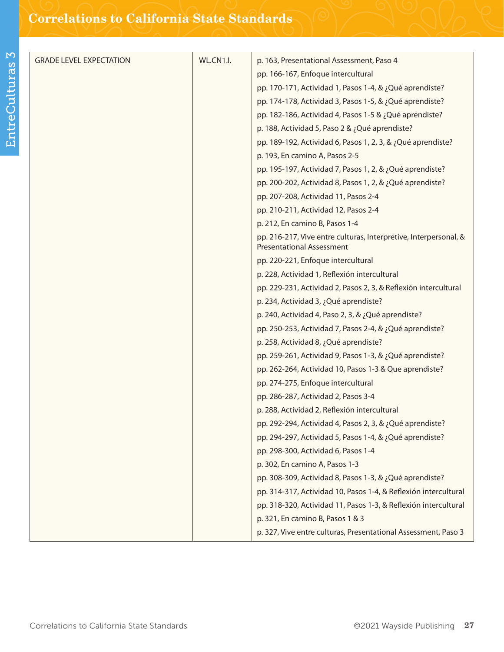| <b>GRADE LEVEL EXPECTATION</b> | WL.CN1.I. | p. 163, Presentational Assessment, Paso 4                                                            |
|--------------------------------|-----------|------------------------------------------------------------------------------------------------------|
|                                |           | pp. 166-167, Enfoque intercultural                                                                   |
|                                |           | pp. 170-171, Actividad 1, Pasos 1-4, & ¿Qué aprendiste?                                              |
|                                |           | pp. 174-178, Actividad 3, Pasos 1-5, & ¿Qué aprendiste?                                              |
|                                |           | pp. 182-186, Actividad 4, Pasos 1-5 & ¿Qué aprendiste?                                               |
|                                |           | p. 188, Actividad 5, Paso 2 & ¿Qué aprendiste?                                                       |
|                                |           | pp. 189-192, Actividad 6, Pasos 1, 2, 3, & ¿Qué aprendiste?                                          |
|                                |           | p. 193, En camino A, Pasos 2-5                                                                       |
|                                |           |                                                                                                      |
|                                |           | pp. 195-197, Actividad 7, Pasos 1, 2, & ¿Qué aprendiste?                                             |
|                                |           | pp. 200-202, Actividad 8, Pasos 1, 2, & ¿Qué aprendiste?                                             |
|                                |           | pp. 207-208, Actividad 11, Pasos 2-4                                                                 |
|                                |           | pp. 210-211, Actividad 12, Pasos 2-4                                                                 |
|                                |           | p. 212, En camino B, Pasos 1-4                                                                       |
|                                |           | pp. 216-217, Vive entre culturas, Interpretive, Interpersonal, &<br><b>Presentational Assessment</b> |
|                                |           | pp. 220-221, Enfoque intercultural                                                                   |
|                                |           | p. 228, Actividad 1, Reflexión intercultural                                                         |
|                                |           | pp. 229-231, Actividad 2, Pasos 2, 3, & Reflexión intercultural                                      |
|                                |           | p. 234, Actividad 3, ¿Qué aprendiste?                                                                |
|                                |           | p. 240, Actividad 4, Paso 2, 3, & ¿Qué aprendiste?                                                   |
|                                |           | pp. 250-253, Actividad 7, Pasos 2-4, & ¿Qué aprendiste?                                              |
|                                |           | p. 258, Actividad 8, ¿Qué aprendiste?                                                                |
|                                |           | pp. 259-261, Actividad 9, Pasos 1-3, & ¿Qué aprendiste?                                              |
|                                |           | pp. 262-264, Actividad 10, Pasos 1-3 & Que aprendiste?                                               |
|                                |           | pp. 274-275, Enfoque intercultural                                                                   |
|                                |           | pp. 286-287, Actividad 2, Pasos 3-4                                                                  |
|                                |           | p. 288, Actividad 2, Reflexión intercultural                                                         |
|                                |           | pp. 292-294, Actividad 4, Pasos 2, 3, & ¿Qué aprendiste?                                             |
|                                |           | pp. 294-297, Actividad 5, Pasos 1-4, & ¿Qué aprendiste?                                              |
|                                |           | pp. 298-300, Actividad 6, Pasos 1-4                                                                  |
|                                |           | p. 302, En camino A, Pasos 1-3                                                                       |
|                                |           | pp. 308-309, Actividad 8, Pasos 1-3, & ¿Qué aprendiste?                                              |
|                                |           | pp. 314-317, Actividad 10, Pasos 1-4, & Reflexión intercultural                                      |
|                                |           | pp. 318-320, Actividad 11, Pasos 1-3, & Reflexión intercultural                                      |
|                                |           | p. 321, En camino B, Pasos 1 & 3                                                                     |
|                                |           | p. 327, Vive entre culturas, Presentational Assessment, Paso 3                                       |
|                                |           |                                                                                                      |